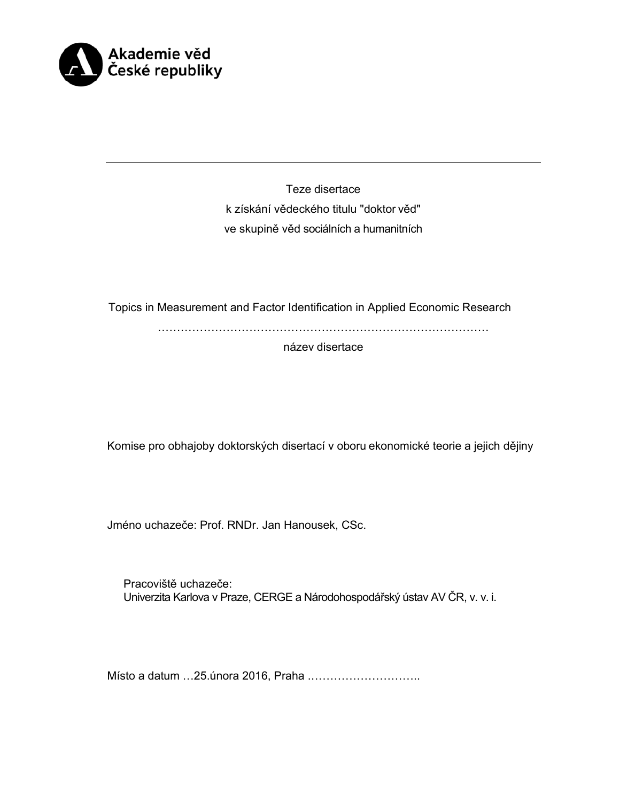

Teze disertace k získání vědeckého titulu "doktor věd" ve skupině věd sociálních a humanitních

Topics in Measurement and Factor Identification in Applied Economic Research

……………………………………………………………………………

název disertace

Komise pro obhajoby doktorských disertací v oboru ekonomické teorie a jejich dějiny

Jméno uchazeče: Prof. RNDr. Jan Hanousek, CSc.

Pracoviště uchazeče: Univerzita Karlova v Praze, CERGE a Národohospodářský ústav AV ČR, v. v. i.

Místo a datum …25.února 2016, Praha .………………………..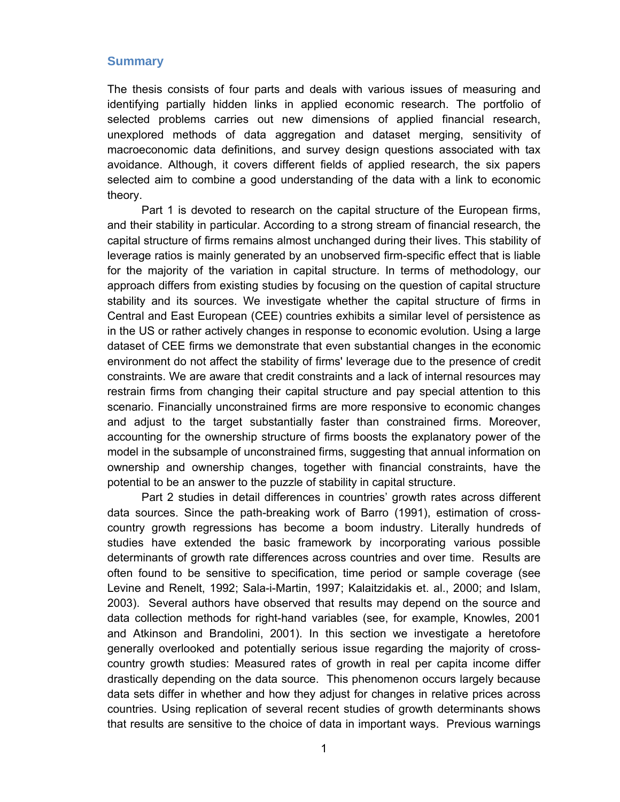### **Summary**

The thesis consists of four parts and deals with various issues of measuring and identifying partially hidden links in applied economic research. The portfolio of selected problems carries out new dimensions of applied financial research, unexplored methods of data aggregation and dataset merging, sensitivity of macroeconomic data definitions, and survey design questions associated with tax avoidance. Although, it covers different fields of applied research, the six papers selected aim to combine a good understanding of the data with a link to economic theory.

Part 1 is devoted to research on the capital structure of the European firms, and their stability in particular. According to a strong stream of financial research, the capital structure of firms remains almost unchanged during their lives. This stability of leverage ratios is mainly generated by an unobserved firm-specific effect that is liable for the majority of the variation in capital structure. In terms of methodology, our approach differs from existing studies by focusing on the question of capital structure stability and its sources. We investigate whether the capital structure of firms in Central and East European (CEE) countries exhibits a similar level of persistence as in the US or rather actively changes in response to economic evolution. Using a large dataset of CEE firms we demonstrate that even substantial changes in the economic environment do not affect the stability of firms' leverage due to the presence of credit constraints. We are aware that credit constraints and a lack of internal resources may restrain firms from changing their capital structure and pay special attention to this scenario. Financially unconstrained firms are more responsive to economic changes and adjust to the target substantially faster than constrained firms. Moreover, accounting for the ownership structure of firms boosts the explanatory power of the model in the subsample of unconstrained firms, suggesting that annual information on ownership and ownership changes, together with financial constraints, have the potential to be an answer to the puzzle of stability in capital structure.

Part 2 studies in detail differences in countries' growth rates across different data sources. Since the path-breaking work of Barro (1991), estimation of crosscountry growth regressions has become a boom industry. Literally hundreds of studies have extended the basic framework by incorporating various possible determinants of growth rate differences across countries and over time. Results are often found to be sensitive to specification, time period or sample coverage (see Levine and Renelt, 1992; Sala-i-Martin, 1997; Kalaitzidakis et. al., 2000; and Islam, 2003). Several authors have observed that results may depend on the source and data collection methods for right-hand variables (see, for example, Knowles, 2001 and Atkinson and Brandolini, 2001). In this section we investigate a heretofore generally overlooked and potentially serious issue regarding the majority of crosscountry growth studies: Measured rates of growth in real per capita income differ drastically depending on the data source. This phenomenon occurs largely because data sets differ in whether and how they adjust for changes in relative prices across countries. Using replication of several recent studies of growth determinants shows that results are sensitive to the choice of data in important ways. Previous warnings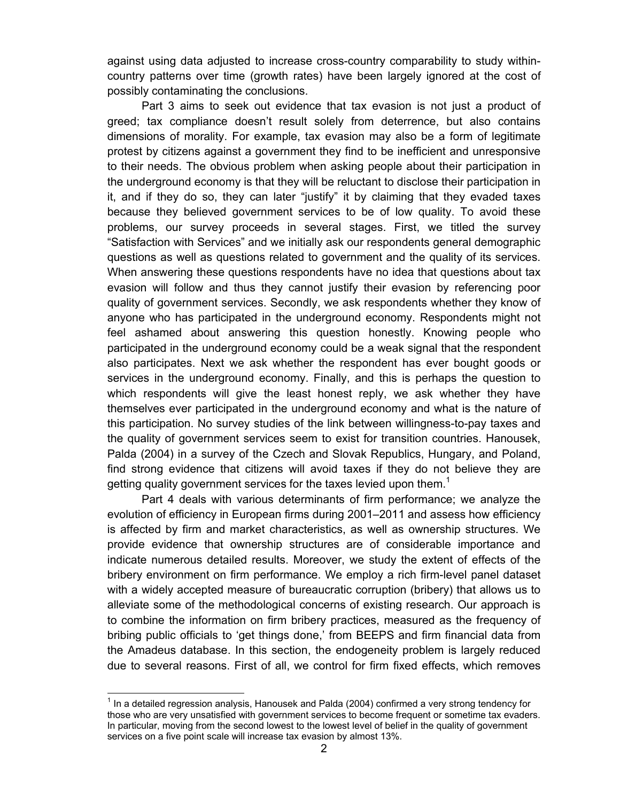against using data adjusted to increase cross-country comparability to study withincountry patterns over time (growth rates) have been largely ignored at the cost of possibly contaminating the conclusions.

Part 3 aims to seek out evidence that tax evasion is not just a product of greed; tax compliance doesn't result solely from deterrence, but also contains dimensions of morality. For example, tax evasion may also be a form of legitimate protest by citizens against a government they find to be inefficient and unresponsive to their needs. The obvious problem when asking people about their participation in the underground economy is that they will be reluctant to disclose their participation in it, and if they do so, they can later "justify" it by claiming that they evaded taxes because they believed government services to be of low quality. To avoid these problems, our survey proceeds in several stages. First, we titled the survey "Satisfaction with Services" and we initially ask our respondents general demographic questions as well as questions related to government and the quality of its services. When answering these questions respondents have no idea that questions about tax evasion will follow and thus they cannot justify their evasion by referencing poor quality of government services. Secondly, we ask respondents whether they know of anyone who has participated in the underground economy. Respondents might not feel ashamed about answering this question honestly. Knowing people who participated in the underground economy could be a weak signal that the respondent also participates. Next we ask whether the respondent has ever bought goods or services in the underground economy. Finally, and this is perhaps the question to which respondents will give the least honest reply, we ask whether they have themselves ever participated in the underground economy and what is the nature of this participation. No survey studies of the link between willingness-to-pay taxes and the quality of government services seem to exist for transition countries. Hanousek, Palda (2004) in a survey of the Czech and Slovak Republics, Hungary, and Poland, find strong evidence that citizens will avoid taxes if they do not believe they are getting quality government services for the taxes levied upon them.<sup>1</sup>

Part 4 deals with various determinants of firm performance; we analyze the evolution of efficiency in European firms during 2001–2011 and assess how efficiency is affected by firm and market characteristics, as well as ownership structures. We provide evidence that ownership structures are of considerable importance and indicate numerous detailed results. Moreover, we study the extent of effects of the bribery environment on firm performance. We employ a rich firm-level panel dataset with a widely accepted measure of bureaucratic corruption (bribery) that allows us to alleviate some of the methodological concerns of existing research. Our approach is to combine the information on firm bribery practices, measured as the frequency of bribing public officials to 'get things done,' from BEEPS and firm financial data from the Amadeus database. In this section, the endogeneity problem is largely reduced due to several reasons. First of all, we control for firm fixed effects, which removes

 $1$  In a detailed regression analysis, Hanousek and Palda (2004) confirmed a very strong tendency for those who are very unsatisfied with government services to become frequent or sometime tax evaders. In particular, moving from the second lowest to the lowest level of belief in the quality of government services on a five point scale will increase tax evasion by almost 13%.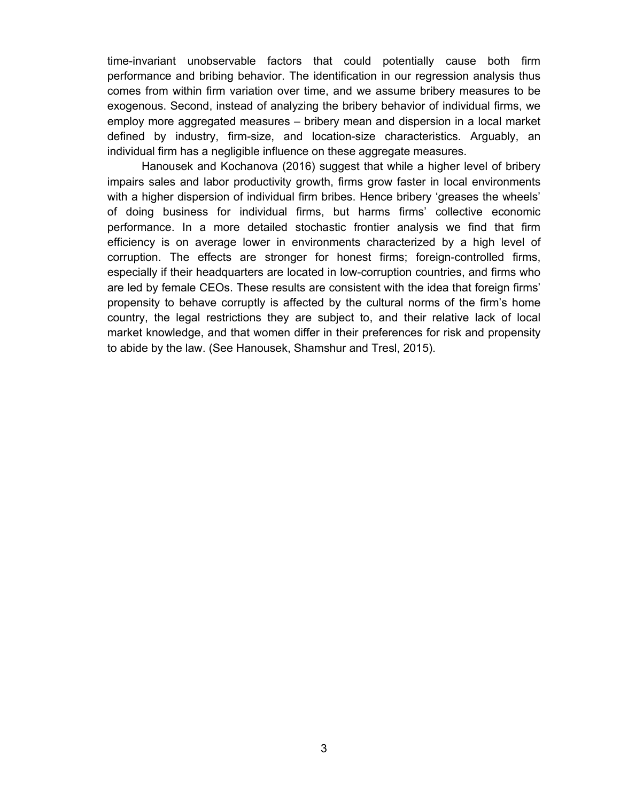time-invariant unobservable factors that could potentially cause both firm performance and bribing behavior. The identification in our regression analysis thus comes from within firm variation over time, and we assume bribery measures to be exogenous. Second, instead of analyzing the bribery behavior of individual firms, we employ more aggregated measures – bribery mean and dispersion in a local market defined by industry, firm-size, and location-size characteristics. Arguably, an individual firm has a negligible influence on these aggregate measures.

Hanousek and Kochanova (2016) suggest that while a higher level of bribery impairs sales and labor productivity growth, firms grow faster in local environments with a higher dispersion of individual firm bribes. Hence bribery 'greases the wheels' of doing business for individual firms, but harms firms' collective economic performance. In a more detailed stochastic frontier analysis we find that firm efficiency is on average lower in environments characterized by a high level of corruption. The effects are stronger for honest firms; foreign-controlled firms, especially if their headquarters are located in low-corruption countries, and firms who are led by female CEOs. These results are consistent with the idea that foreign firms' propensity to behave corruptly is affected by the cultural norms of the firm's home country, the legal restrictions they are subject to, and their relative lack of local market knowledge, and that women differ in their preferences for risk and propensity to abide by the law. (See Hanousek, Shamshur and Tresl, 2015).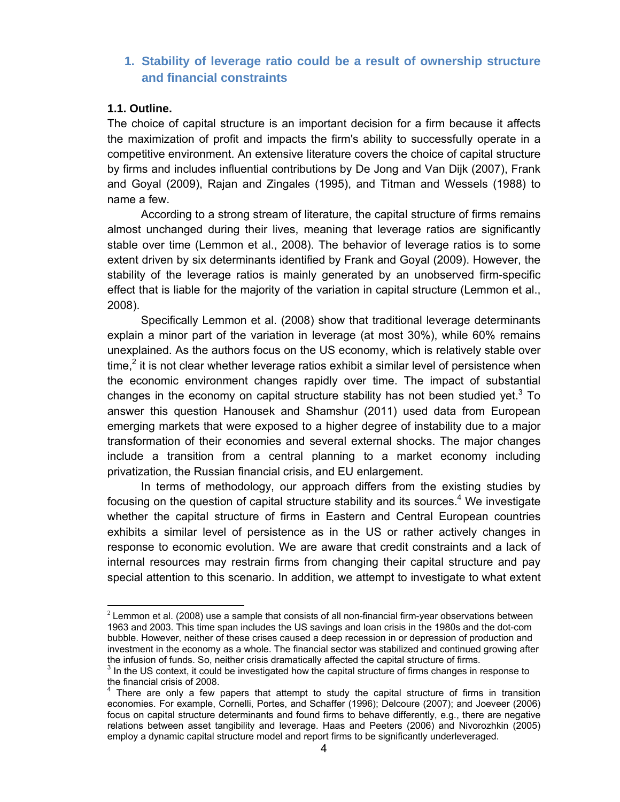# **1. Stability of leverage ratio could be a result of ownership structure and financial constraints**

## **1.1. Outline.**

 $\overline{a}$ 

The choice of capital structure is an important decision for a firm because it affects the maximization of profit and impacts the firm's ability to successfully operate in a competitive environment. An extensive literature covers the choice of capital structure by firms and includes influential contributions by De Jong and Van Dijk (2007), Frank and Goyal (2009), Rajan and Zingales (1995), and Titman and Wessels (1988) to name a few.

According to a strong stream of literature, the capital structure of firms remains almost unchanged during their lives, meaning that leverage ratios are significantly stable over time (Lemmon et al., 2008). The behavior of leverage ratios is to some extent driven by six determinants identified by Frank and Goyal (2009). However, the stability of the leverage ratios is mainly generated by an unobserved firm-specific effect that is liable for the majority of the variation in capital structure (Lemmon et al., 2008).

Specifically Lemmon et al. (2008) show that traditional leverage determinants explain a minor part of the variation in leverage (at most 30%), while 60% remains unexplained. As the authors focus on the US economy, which is relatively stable over time,<sup>2</sup> it is not clear whether leverage ratios exhibit a similar level of persistence when the economic environment changes rapidly over time. The impact of substantial changes in the economy on capital structure stability has not been studied yet. $3$  To answer this question Hanousek and Shamshur (2011) used data from European emerging markets that were exposed to a higher degree of instability due to a major transformation of their economies and several external shocks. The major changes include a transition from a central planning to a market economy including privatization, the Russian financial crisis, and EU enlargement.

In terms of methodology, our approach differs from the existing studies by focusing on the question of capital structure stability and its sources.<sup>4</sup> We investigate whether the capital structure of firms in Eastern and Central European countries exhibits a similar level of persistence as in the US or rather actively changes in response to economic evolution. We are aware that credit constraints and a lack of internal resources may restrain firms from changing their capital structure and pay special attention to this scenario. In addition, we attempt to investigate to what extent

 $2$  Lemmon et al. (2008) use a sample that consists of all non-financial firm-year observations between 1963 and 2003. This time span includes the US savings and loan crisis in the 1980s and the dot-com bubble. However, neither of these crises caused a deep recession in or depression of production and investment in the economy as a whole. The financial sector was stabilized and continued growing after the infusion of funds. So, neither crisis dramatically affected the capital structure of firms. 3

 $3$  In the US context, it could be investigated how the capital structure of firms changes in response to the financial crisis of 2008.

<sup>4</sup> There are only a few papers that attempt to study the capital structure of firms in transition economies. For example, Cornelli, Portes, and Schaffer (1996); Delcoure (2007); and Joeveer (2006) focus on capital structure determinants and found firms to behave differently, e.g., there are negative relations between asset tangibility and leverage. Haas and Peeters (2006) and Nivorozhkin (2005) employ a dynamic capital structure model and report firms to be significantly underleveraged.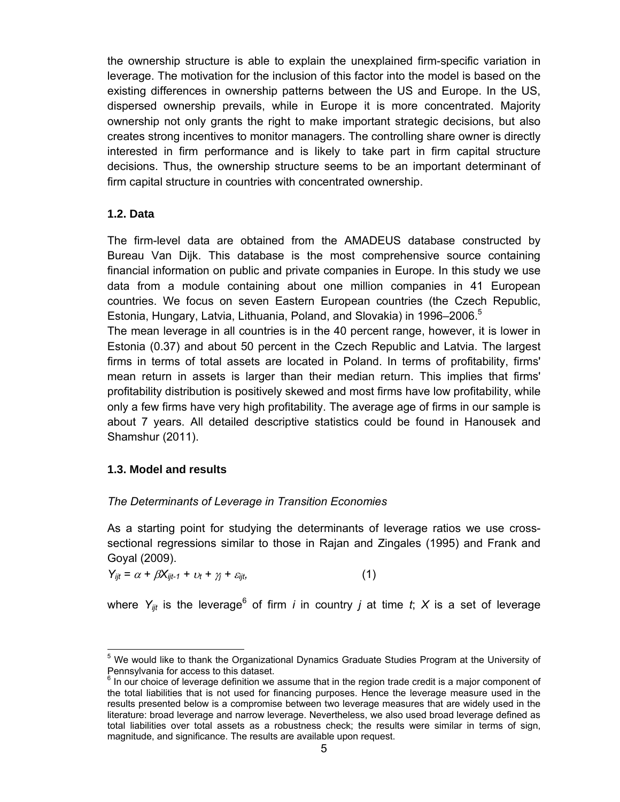the ownership structure is able to explain the unexplained firm-specific variation in leverage. The motivation for the inclusion of this factor into the model is based on the existing differences in ownership patterns between the US and Europe. In the US, dispersed ownership prevails, while in Europe it is more concentrated. Majority ownership not only grants the right to make important strategic decisions, but also creates strong incentives to monitor managers. The controlling share owner is directly interested in firm performance and is likely to take part in firm capital structure decisions. Thus, the ownership structure seems to be an important determinant of firm capital structure in countries with concentrated ownership.

# **1.2. Data**

The firm-level data are obtained from the AMADEUS database constructed by Bureau Van Dijk. This database is the most comprehensive source containing financial information on public and private companies in Europe. In this study we use data from a module containing about one million companies in 41 European countries. We focus on seven Eastern European countries (the Czech Republic, Estonia, Hungary, Latvia, Lithuania, Poland, and Slovakia) in 1996–2006.<sup>5</sup>

The mean leverage in all countries is in the 40 percent range, however, it is lower in Estonia (0.37) and about 50 percent in the Czech Republic and Latvia. The largest firms in terms of total assets are located in Poland. In terms of profitability, firms' mean return in assets is larger than their median return. This implies that firms' profitability distribution is positively skewed and most firms have low profitability, while only a few firms have very high profitability. The average age of firms in our sample is about 7 years. All detailed descriptive statistics could be found in Hanousek and Shamshur (2011).

# **1.3. Model and results**

# *The Determinants of Leverage in Transition Economies*

As a starting point for studying the determinants of leverage ratios we use crosssectional regressions similar to those in Rajan and Zingales (1995) and Frank and Goyal (2009).

$$
Y_{ijt} = \alpha + \beta X_{ijt-1} + \nu_t + \gamma_j + \varepsilon_{ijt}, \qquad (1)
$$

where  $Y_{ijt}$  is the leverage<sup>6</sup> of firm *i* in country *j* at time *t*; *X* is a set of leverage

<sup>&</sup>lt;u>5</u><br><sup>5</sup> We would like to thank the Organizational Dynamics Graduate Studies Program at the University of Pennsylvania for access to this dataset.

 $6$  In our choice of leverage definition we assume that in the region trade credit is a major component of the total liabilities that is not used for financing purposes. Hence the leverage measure used in the results presented below is a compromise between two leverage measures that are widely used in the literature: broad leverage and narrow leverage. Nevertheless, we also used broad leverage defined as total liabilities over total assets as a robustness check; the results were similar in terms of sign, magnitude, and significance. The results are available upon request.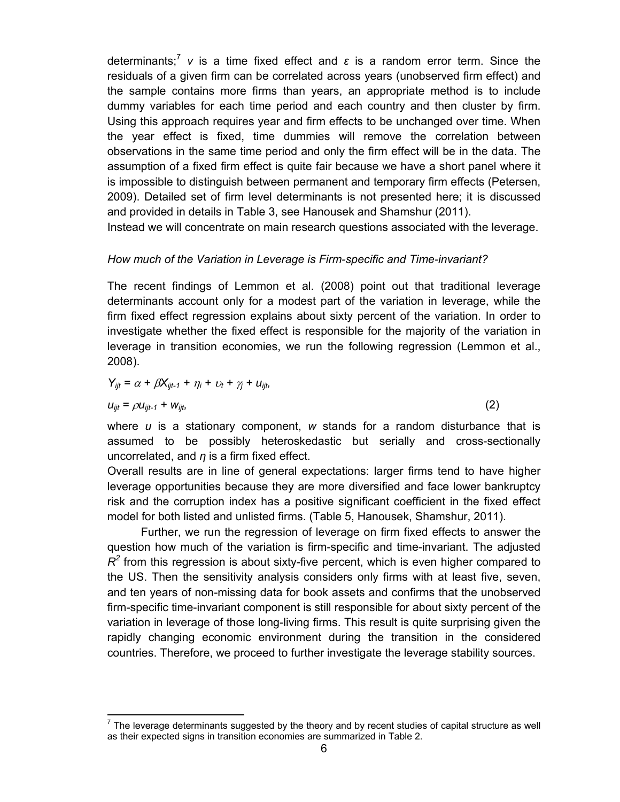determinants;<sup>7</sup> *ν* is a time fixed effect and  $ε$  is a random error term. Since the residuals of a given firm can be correlated across years (unobserved firm effect) and the sample contains more firms than years, an appropriate method is to include dummy variables for each time period and each country and then cluster by firm. Using this approach requires year and firm effects to be unchanged over time. When the year effect is fixed, time dummies will remove the correlation between observations in the same time period and only the firm effect will be in the data. The assumption of a fixed firm effect is quite fair because we have a short panel where it is impossible to distinguish between permanent and temporary firm effects (Petersen, 2009). Detailed set of firm level determinants is not presented here; it is discussed and provided in details in Table 3, see Hanousek and Shamshur (2011).

Instead we will concentrate on main research questions associated with the leverage.

## *How much of the Variation in Leverage is Firm-specific and Time-invariant?*

The recent findings of Lemmon et al. (2008) point out that traditional leverage determinants account only for a modest part of the variation in leverage, while the firm fixed effect regression explains about sixty percent of the variation. In order to investigate whether the fixed effect is responsible for the majority of the variation in leverage in transition economies, we run the following regression (Lemmon et al., 2008).

$$
Y_{ijt} = \alpha + \beta X_{ijt-1} + \eta_i + v_t + \gamma_j + u_{ijt},
$$

$$
u_{ijt} = \rho u_{ijt-1} + w_{ijt} \tag{2}
$$

 $\overline{a}$ 

where *u* is a stationary component, *w* stands for a random disturbance that is assumed to be possibly heteroskedastic but serially and cross-sectionally uncorrelated, and *η* is a firm fixed effect.

Overall results are in line of general expectations: larger firms tend to have higher leverage opportunities because they are more diversified and face lower bankruptcy risk and the corruption index has a positive significant coefficient in the fixed effect model for both listed and unlisted firms. (Table 5, Hanousek, Shamshur, 2011).

Further, we run the regression of leverage on firm fixed effects to answer the question how much of the variation is firm-specific and time-invariant. The adjusted  $R^2$  from this regression is about sixty-five percent, which is even higher compared to the US. Then the sensitivity analysis considers only firms with at least five, seven, and ten years of non-missing data for book assets and confirms that the unobserved firm-specific time-invariant component is still responsible for about sixty percent of the variation in leverage of those long-living firms. This result is quite surprising given the rapidly changing economic environment during the transition in the considered countries. Therefore, we proceed to further investigate the leverage stability sources.

 $<sup>7</sup>$  The leverage determinants suggested by the theory and by recent studies of capital structure as well</sup> as their expected signs in transition economies are summarized in Table 2.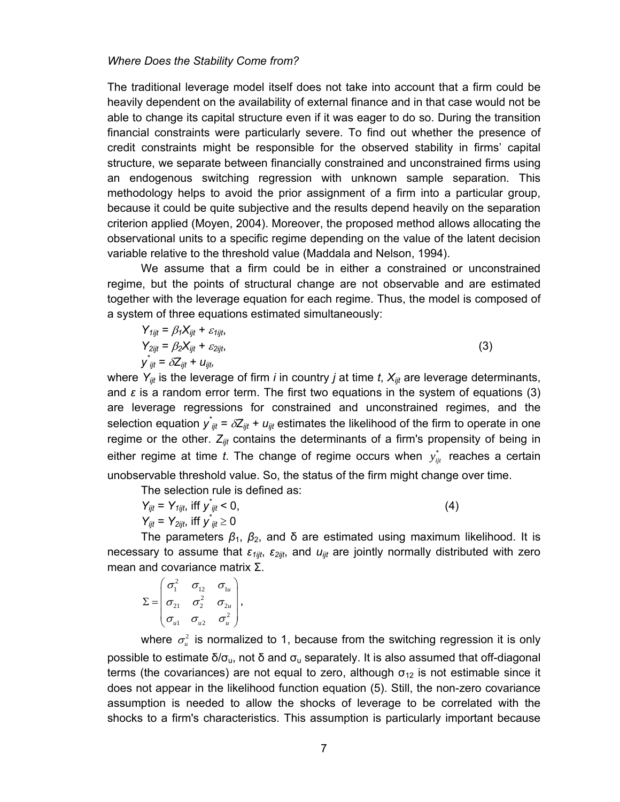#### *Where Does the Stability Come from?*

The traditional leverage model itself does not take into account that a firm could be heavily dependent on the availability of external finance and in that case would not be able to change its capital structure even if it was eager to do so. During the transition financial constraints were particularly severe. To find out whether the presence of credit constraints might be responsible for the observed stability in firms' capital structure, we separate between financially constrained and unconstrained firms using an endogenous switching regression with unknown sample separation. This methodology helps to avoid the prior assignment of a firm into a particular group, because it could be quite subjective and the results depend heavily on the separation criterion applied (Moyen, 2004). Moreover, the proposed method allows allocating the observational units to a specific regime depending on the value of the latent decision variable relative to the threshold value (Maddala and Nelson, 1994).

We assume that a firm could be in either a constrained or unconstrained regime, but the points of structural change are not observable and are estimated together with the leverage equation for each regime. Thus, the model is composed of a system of three equations estimated simultaneously:

$$
Y_{1ijt} = \beta_1 X_{ijt} + \varepsilon_{1ijt},
$$
  
\n
$$
Y_{2ijt} = \beta_2 X_{ijt} + \varepsilon_{2ijt},
$$
  
\n
$$
y_{ijt}^* = \delta Z_{ijt} + U_{ijt},
$$
  
\n(3)

where  $Y_{ijt}$  is the leverage of firm *i* in country *j* at time *t*,  $X_{ijt}$  are leverage determinants, and  $\varepsilon$  is a random error term. The first two equations in the system of equations (3) are leverage regressions for constrained and unconstrained regimes, and the selection equation  $y^*_{ijt} = \delta Z_{ijt} + u_{ijt}$  estimates the likelihood of the firm to operate in one regime or the other. *Zijt* contains the determinants of a firm's propensity of being in either regime at time t. The change of regime occurs when  $y_{ijt}^*$  reaches a certain unobservable threshold value. So, the status of the firm might change over time.

The selection rule is defined as:

$$
Y_{ijt} = Y_{1ijt}, \text{ iff } y^*_{ijt} < 0, Y_{ijt} = Y_{2ijt}, \text{ iff } y^*_{ijt} \ge 0
$$
 (4)

The parameters  $\beta_1$ ,  $\beta_2$ , and  $\delta$  are estimated using maximum likelihood. It is necessary to assume that *ε1ijt*, *ε2ijt*, and *uijt* are jointly normally distributed with zero mean and covariance matrix Σ.

$$
\Sigma = \begin{pmatrix} \sigma_1^2 & \sigma_{12} & \sigma_{1u} \\ \sigma_{21} & \sigma_2^2 & \sigma_{2u} \\ \sigma_{u1} & \sigma_{u2} & \sigma_u^2 \end{pmatrix},
$$

where  $\sigma_{\mu}^2$  is normalized to 1, because from the switching regression it is only possible to estimate  $\delta/\sigma_u$ , not δ and  $\sigma_u$  separately. It is also assumed that off-diagonal terms (the covariances) are not equal to zero, although  $\sigma_{12}$  is not estimable since it does not appear in the likelihood function equation (5). Still, the non-zero covariance assumption is needed to allow the shocks of leverage to be correlated with the shocks to a firm's characteristics. This assumption is particularly important because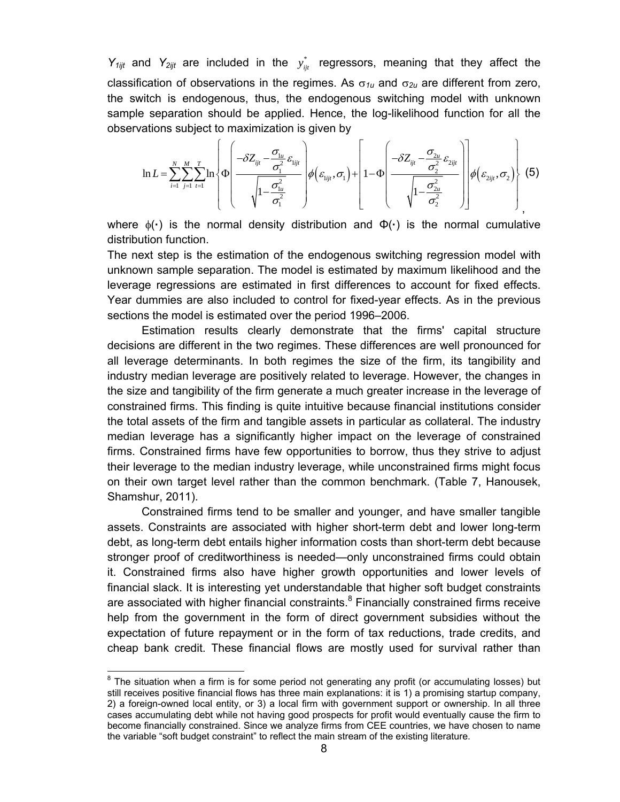$Y_{\text{1ijt}}$  and  $Y_{\text{2ijt}}$  are included in the  $y_{\text{ijt}}^*$  regressors, meaning that they affect the classification of observations in the regimes. As  $\sigma_{1u}$  and  $\sigma_{2u}$  are different from zero, the switch is endogenous, thus, the endogenous switching model with unknown sample separation should be applied. Hence, the log-likelihood function for all the observations subject to maximization is given by

$$
\ln L = \sum_{i=1}^{N} \sum_{j=1}^{M} \sum_{t=1}^{T} \ln \left\{ \Phi \left( \frac{-\delta Z_{ijt} - \frac{\sigma_{1u}}{\sigma_1^2} \varepsilon_{\text{Lijt}}}{\sqrt{1 - \frac{\sigma_{1u}^2}{\sigma_1^2}}} \right) \phi \left( \varepsilon_{\text{Lijt}}, \sigma_1 \right) + \left[ 1 - \Phi \left( \frac{-\delta Z_{ijt} - \frac{\sigma_{2u}}{\sigma_2^2} \varepsilon_{\text{Lijt}}}{\sqrt{1 - \frac{\sigma_{2u}^2}{\sigma_2^2}}} \right) \right] \phi \left( \varepsilon_{\text{Lijt}}, \sigma_2 \right) \right\} \tag{5}
$$

where  $\phi(\cdot)$  is the normal density distribution and  $\Phi(\cdot)$  is the normal cumulative distribution function.

The next step is the estimation of the endogenous switching regression model with unknown sample separation. The model is estimated by maximum likelihood and the leverage regressions are estimated in first differences to account for fixed effects. Year dummies are also included to control for fixed-year effects. As in the previous sections the model is estimated over the period 1996–2006.

Estimation results clearly demonstrate that the firms' capital structure decisions are different in the two regimes. These differences are well pronounced for all leverage determinants. In both regimes the size of the firm, its tangibility and industry median leverage are positively related to leverage. However, the changes in the size and tangibility of the firm generate a much greater increase in the leverage of constrained firms. This finding is quite intuitive because financial institutions consider the total assets of the firm and tangible assets in particular as collateral. The industry median leverage has a significantly higher impact on the leverage of constrained firms. Constrained firms have few opportunities to borrow, thus they strive to adjust their leverage to the median industry leverage, while unconstrained firms might focus on their own target level rather than the common benchmark. (Table 7, Hanousek, Shamshur, 2011).

Constrained firms tend to be smaller and younger, and have smaller tangible assets. Constraints are associated with higher short-term debt and lower long-term debt, as long-term debt entails higher information costs than short-term debt because stronger proof of creditworthiness is needed—only unconstrained firms could obtain it. Constrained firms also have higher growth opportunities and lower levels of financial slack. It is interesting yet understandable that higher soft budget constraints are associated with higher financial constraints. $8$  Financially constrained firms receive help from the government in the form of direct government subsidies without the expectation of future repayment or in the form of tax reductions, trade credits, and cheap bank credit. These financial flows are mostly used for survival rather than

 $8$  The situation when a firm is for some period not generating any profit (or accumulating losses) but still receives positive financial flows has three main explanations: it is 1) a promising startup company, 2) a foreign-owned local entity, or 3) a local firm with government support or ownership. In all three cases accumulating debt while not having good prospects for profit would eventually cause the firm to become financially constrained. Since we analyze firms from CEE countries, we have chosen to name the variable "soft budget constraint" to reflect the main stream of the existing literature.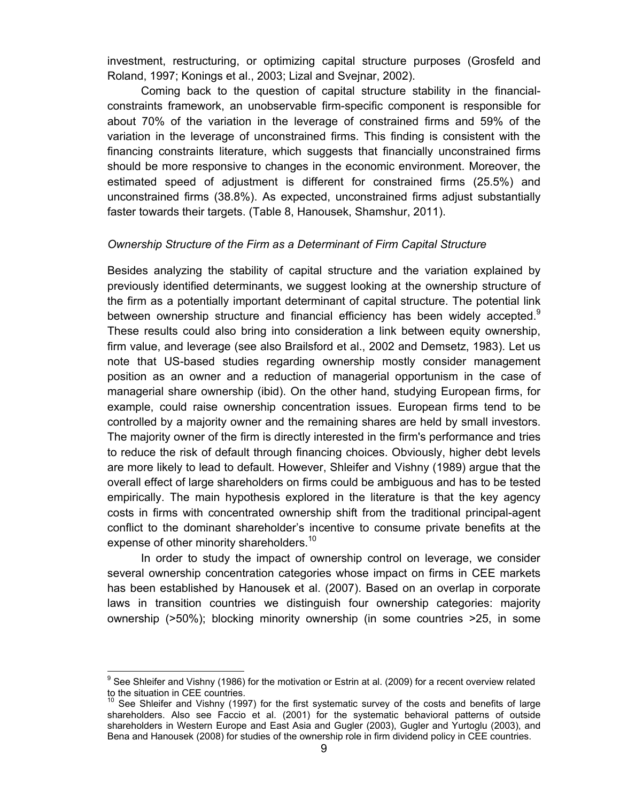investment, restructuring, or optimizing capital structure purposes (Grosfeld and Roland, 1997; Konings et al., 2003; Lizal and Svejnar, 2002).

Coming back to the question of capital structure stability in the financialconstraints framework, an unobservable firm-specific component is responsible for about 70% of the variation in the leverage of constrained firms and 59% of the variation in the leverage of unconstrained firms. This finding is consistent with the financing constraints literature, which suggests that financially unconstrained firms should be more responsive to changes in the economic environment. Moreover, the estimated speed of adjustment is different for constrained firms (25.5%) and unconstrained firms (38.8%). As expected, unconstrained firms adjust substantially faster towards their targets. (Table 8, Hanousek, Shamshur, 2011).

### *Ownership Structure of the Firm as a Determinant of Firm Capital Structure*

Besides analyzing the stability of capital structure and the variation explained by previously identified determinants, we suggest looking at the ownership structure of the firm as a potentially important determinant of capital structure. The potential link between ownership structure and financial efficiency has been widely accepted.<sup>9</sup> These results could also bring into consideration a link between equity ownership, firm value, and leverage (see also Brailsford et al., 2002 and Demsetz, 1983). Let us note that US-based studies regarding ownership mostly consider management position as an owner and a reduction of managerial opportunism in the case of managerial share ownership (ibid). On the other hand, studying European firms, for example, could raise ownership concentration issues. European firms tend to be controlled by a majority owner and the remaining shares are held by small investors. The majority owner of the firm is directly interested in the firm's performance and tries to reduce the risk of default through financing choices. Obviously, higher debt levels are more likely to lead to default. However, Shleifer and Vishny (1989) argue that the overall effect of large shareholders on firms could be ambiguous and has to be tested empirically. The main hypothesis explored in the literature is that the key agency costs in firms with concentrated ownership shift from the traditional principal-agent conflict to the dominant shareholder's incentive to consume private benefits at the expense of other minority shareholders.<sup>10</sup>

In order to study the impact of ownership control on leverage, we consider several ownership concentration categories whose impact on firms in CEE markets has been established by Hanousek et al. (2007). Based on an overlap in corporate laws in transition countries we distinguish four ownership categories: majority ownership (>50%); blocking minority ownership (in some countries >25, in some

 $9$  See Shleifer and Vishny (1986) for the motivation or Estrin at al. (2009) for a recent overview related to the situation in CEE countries.<br><sup>10</sup> See Shleifer and Vishny (1997) for the first systematic survey of the costs and benefits of large

shareholders. Also see Faccio et al. (2001) for the systematic behavioral patterns of outside shareholders in Western Europe and East Asia and Gugler (2003), Gugler and Yurtoglu (2003), and Bena and Hanousek (2008) for studies of the ownership role in firm dividend policy in CEE countries.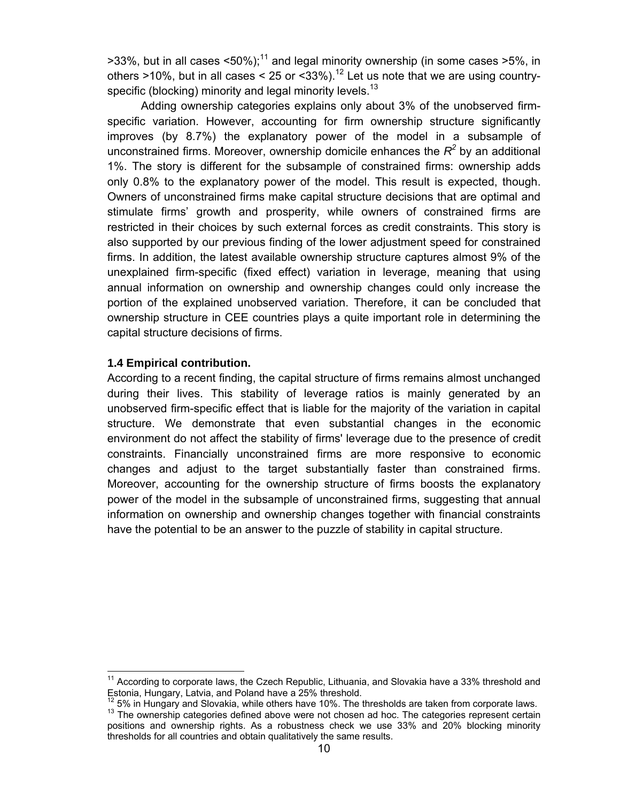$>$ 33%, but in all cases  $\leq$ 50%);<sup>11</sup> and legal minority ownership (in some cases  $>$ 5%, in others >10%, but in all cases < 25 or <33%).<sup>12</sup> Let us note that we are using countryspecific (blocking) minority and legal minority levels.<sup>13</sup>

Adding ownership categories explains only about 3% of the unobserved firmspecific variation. However, accounting for firm ownership structure significantly improves (by 8.7%) the explanatory power of the model in a subsample of unconstrained firms. Moreover, ownership domicile enhances the  $R^2$  by an additional 1%. The story is different for the subsample of constrained firms: ownership adds only 0.8% to the explanatory power of the model. This result is expected, though. Owners of unconstrained firms make capital structure decisions that are optimal and stimulate firms' growth and prosperity, while owners of constrained firms are restricted in their choices by such external forces as credit constraints. This story is also supported by our previous finding of the lower adjustment speed for constrained firms. In addition, the latest available ownership structure captures almost 9% of the unexplained firm-specific (fixed effect) variation in leverage, meaning that using annual information on ownership and ownership changes could only increase the portion of the explained unobserved variation. Therefore, it can be concluded that ownership structure in CEE countries plays a quite important role in determining the capital structure decisions of firms.

### **1.4 Empirical contribution.**

According to a recent finding, the capital structure of firms remains almost unchanged during their lives. This stability of leverage ratios is mainly generated by an unobserved firm-specific effect that is liable for the majority of the variation in capital structure. We demonstrate that even substantial changes in the economic environment do not affect the stability of firms' leverage due to the presence of credit constraints. Financially unconstrained firms are more responsive to economic changes and adjust to the target substantially faster than constrained firms. Moreover, accounting for the ownership structure of firms boosts the explanatory power of the model in the subsample of unconstrained firms, suggesting that annual information on ownership and ownership changes together with financial constraints have the potential to be an answer to the puzzle of stability in capital structure.

 $\overline{a}$  $11$  According to corporate laws, the Czech Republic, Lithuania, and Slovakia have a 33% threshold and Estonia, Hungary, Latvia, and Poland have a 25% threshold.<br><sup>12</sup> 5% in Hungary and Slovakia, while others have 10%. The thresholds are taken from corporate laws.

<sup>13</sup> The ownership categories defined above were not chosen ad hoc. The categories represent certain positions and ownership rights. As a robustness check we use 33% and 20% blocking minority thresholds for all countries and obtain qualitatively the same results.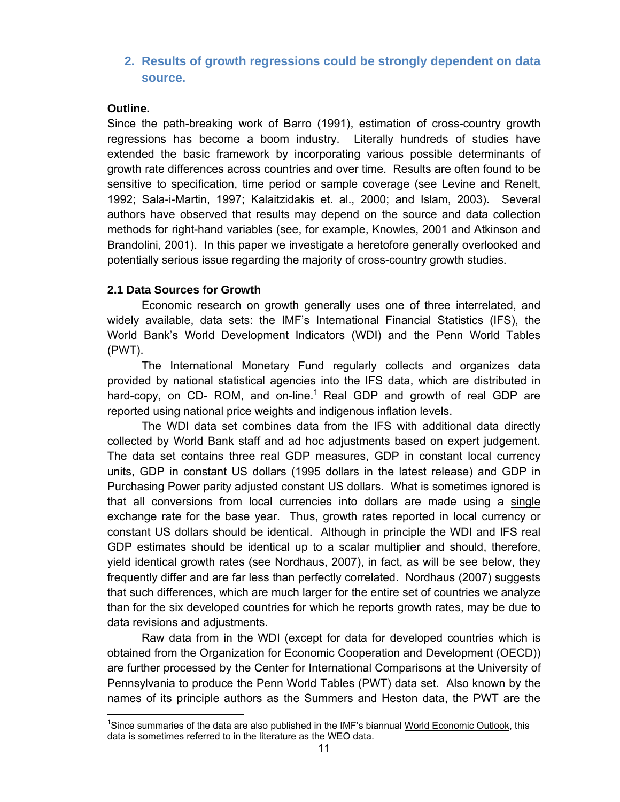# **2. Results of growth regressions could be strongly dependent on data source.**

## **Outline.**

 $\overline{a}$ 

Since the path-breaking work of Barro (1991), estimation of cross-country growth regressions has become a boom industry. Literally hundreds of studies have extended the basic framework by incorporating various possible determinants of growth rate differences across countries and over time. Results are often found to be sensitive to specification, time period or sample coverage (see Levine and Renelt, 1992; Sala-i-Martin, 1997; Kalaitzidakis et. al., 2000; and Islam, 2003). Several authors have observed that results may depend on the source and data collection methods for right-hand variables (see, for example, Knowles, 2001 and Atkinson and Brandolini, 2001). In this paper we investigate a heretofore generally overlooked and potentially serious issue regarding the majority of cross-country growth studies.

# **2.1 Data Sources for Growth**

 Economic research on growth generally uses one of three interrelated, and widely available, data sets: the IMF's International Financial Statistics (IFS), the World Bank's World Development Indicators (WDI) and the Penn World Tables (PWT).

 The International Monetary Fund regularly collects and organizes data provided by national statistical agencies into the IFS data, which are distributed in hard-copy, on CD- ROM, and on-line.<sup>1</sup> Real GDP and growth of real GDP are reported using national price weights and indigenous inflation levels.

 The WDI data set combines data from the IFS with additional data directly collected by World Bank staff and ad hoc adjustments based on expert judgement. The data set contains three real GDP measures, GDP in constant local currency units, GDP in constant US dollars (1995 dollars in the latest release) and GDP in Purchasing Power parity adjusted constant US dollars. What is sometimes ignored is that all conversions from local currencies into dollars are made using a single exchange rate for the base year. Thus, growth rates reported in local currency or constant US dollars should be identical. Although in principle the WDI and IFS real GDP estimates should be identical up to a scalar multiplier and should, therefore, yield identical growth rates (see Nordhaus, 2007), in fact, as will be see below, they frequently differ and are far less than perfectly correlated. Nordhaus (2007) suggests that such differences, which are much larger for the entire set of countries we analyze than for the six developed countries for which he reports growth rates, may be due to data revisions and adjustments.

 Raw data from in the WDI (except for data for developed countries which is obtained from the Organization for Economic Cooperation and Development (OECD)) are further processed by the Center for International Comparisons at the University of Pennsylvania to produce the Penn World Tables (PWT) data set. Also known by the names of its principle authors as the Summers and Heston data, the PWT are the

<sup>&</sup>lt;sup>1</sup>Since summaries of the data are also published in the IMF's biannual World Economic Outlook, this data is sometimes referred to in the literature as the WEO data.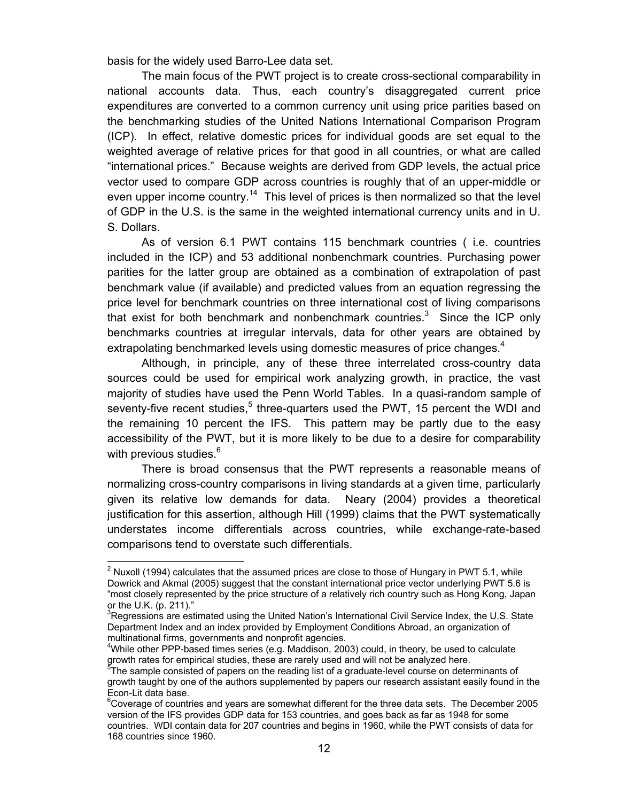basis for the widely used Barro-Lee data set.

 The main focus of the PWT project is to create cross-sectional comparability in national accounts data. Thus, each country's disaggregated current price expenditures are converted to a common currency unit using price parities based on the benchmarking studies of the United Nations International Comparison Program (ICP). In effect, relative domestic prices for individual goods are set equal to the weighted average of relative prices for that good in all countries, or what are called "international prices." Because weights are derived from GDP levels, the actual price vector used to compare GDP across countries is roughly that of an upper-middle or even upper income country.<sup>14</sup> This level of prices is then normalized so that the level of GDP in the U.S. is the same in the weighted international currency units and in U. S. Dollars.

 As of version 6.1 PWT contains 115 benchmark countries ( i.e. countries included in the ICP) and 53 additional nonbenchmark countries. Purchasing power parities for the latter group are obtained as a combination of extrapolation of past benchmark value (if available) and predicted values from an equation regressing the price level for benchmark countries on three international cost of living comparisons that exist for both benchmark and nonbenchmark countries.<sup>3</sup> Since the ICP only benchmarks countries at irregular intervals, data for other years are obtained by extrapolating benchmarked levels using domestic measures of price changes.<sup>4</sup>

 Although, in principle, any of these three interrelated cross-country data sources could be used for empirical work analyzing growth, in practice, the vast majority of studies have used the Penn World Tables. In a quasi-random sample of seventy-five recent studies,<sup>5</sup> three-quarters used the PWT, 15 percent the WDI and the remaining 10 percent the IFS. This pattern may be partly due to the easy accessibility of the PWT, but it is more likely to be due to a desire for comparability with previous studies.<sup>6</sup>

 There is broad consensus that the PWT represents a reasonable means of normalizing cross-country comparisons in living standards at a given time, particularly given its relative low demands for data. Neary (2004) provides a theoretical justification for this assertion, although Hill (1999) claims that the PWT systematically understates income differentials across countries, while exchange-rate-based comparisons tend to overstate such differentials.

 $\overline{a}$  $2$  Nuxoll (1994) calculates that the assumed prices are close to those of Hungary in PWT 5.1, while Dowrick and Akmal (2005) suggest that the constant international price vector underlying PWT 5.6 is "most closely represented by the price structure of a relatively rich country such as Hong Kong, Japan or the U.K. (p. 211)."

<sup>&</sup>lt;sup>3</sup>Regressions are estimated using the United Nation's International Civil Service Index, the U.S. State Department Index and an index provided by Employment Conditions Abroad, an organization of multinational firms, governments and nonprofit agencies.

<sup>&</sup>lt;sup>4</sup>While other PPP-based times series (e.g. Maddison, 2003) could, in theory, be used to calculate growth rates for empirical studies, these are rarely used and will not be analyzed here.<br><sup>5</sup>The sample consisted of papers on the reading list of a graduate-level course on determinants of

growth taught by one of the authors supplemented by papers our research assistant easily found in the Econ-Lit data base.

 ${}^{6}$ Coverage of countries and years are somewhat different for the three data sets. The December 2005 version of the IFS provides GDP data for 153 countries, and goes back as far as 1948 for some countries. WDI contain data for 207 countries and begins in 1960, while the PWT consists of data for 168 countries since 1960.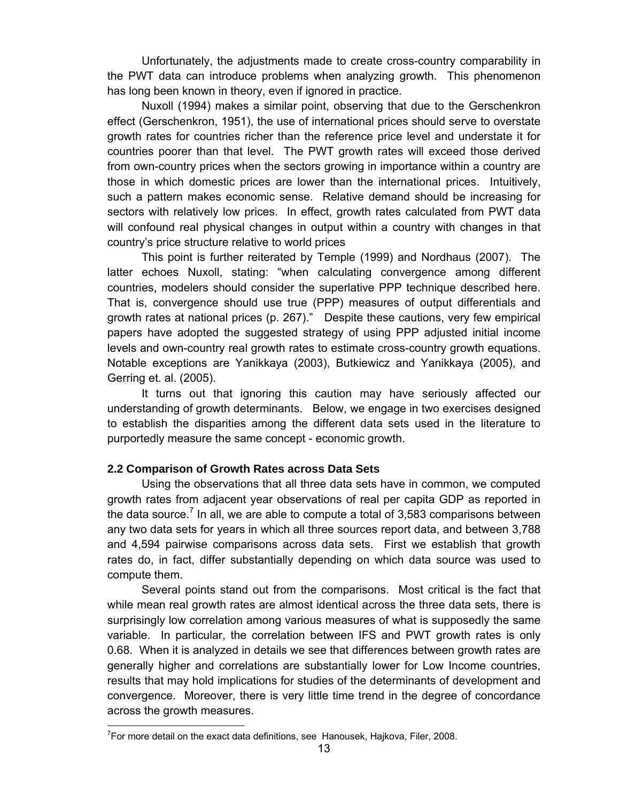Unfortunately, the adjustments made to create cross-country comparability in the PWT data can introduce problems when analyzing growth. This phenomenon has long been known in theory, even if ignored in practice.

 Nuxoll (1994) makes a similar point, observing that due to the Gerschenkron effect (Gerschenkron, 1951), the use of international prices should serve to overstate growth rates for countries richer than the reference price level and understate it for countries poorer than that level. The PWT growth rates will exceed those derived from own-country prices when the sectors growing in importance within a country are those in which domestic prices are lower than the international prices. Intuitively, such a pattern makes economic sense. Relative demand should be increasing for sectors with relatively low prices. In effect, growth rates calculated from PWT data will confound real physical changes in output within a country with changes in that country's price structure relative to world prices

 This point is further reiterated by Temple (1999) and Nordhaus (2007). The latter echoes Nuxoll, stating: "when calculating convergence among different countries, modelers should consider the superlative PPP technique described here. That is, convergence should use true (PPP) measures of output differentials and growth rates at national prices (p. 267)." Despite these cautions, very few empirical papers have adopted the suggested strategy of using PPP adjusted initial income levels and own-country real growth rates to estimate cross-country growth equations. Notable exceptions are Yanikkaya (2003), Butkiewicz and Yanikkaya (2005), and Gerring et. al. (2005).

 It turns out that ignoring this caution may have seriously affected our understanding of growth determinants. Below, we engage in two exercises designed to establish the disparities among the different data sets used in the literature to purportedly measure the same concept - economic growth.

### **2.2 Comparison of Growth Rates across Data Sets**

 Using the observations that all three data sets have in common, we computed growth rates from adjacent year observations of real per capita GDP as reported in the data source.<sup>7</sup> In all, we are able to compute a total of 3,583 comparisons between any two data sets for years in which all three sources report data, and between 3,788 and 4,594 pairwise comparisons across data sets. First we establish that growth rates do, in fact, differ substantially depending on which data source was used to compute them.

 Several points stand out from the comparisons. Most critical is the fact that while mean real growth rates are almost identical across the three data sets, there is surprisingly low correlation among various measures of what is supposedly the same variable. In particular, the correlation between IFS and PWT growth rates is only 0.68. When it is analyzed in details we see that differences between growth rates are generally higher and correlations are substantially lower for Low Income countries, results that may hold implications for studies of the determinants of development and convergence. Moreover, there is very little time trend in the degree of concordance across the growth measures.

 $7$ For more detail on the exact data definitions, see Hanousek, Hajkova, Filer, 2008.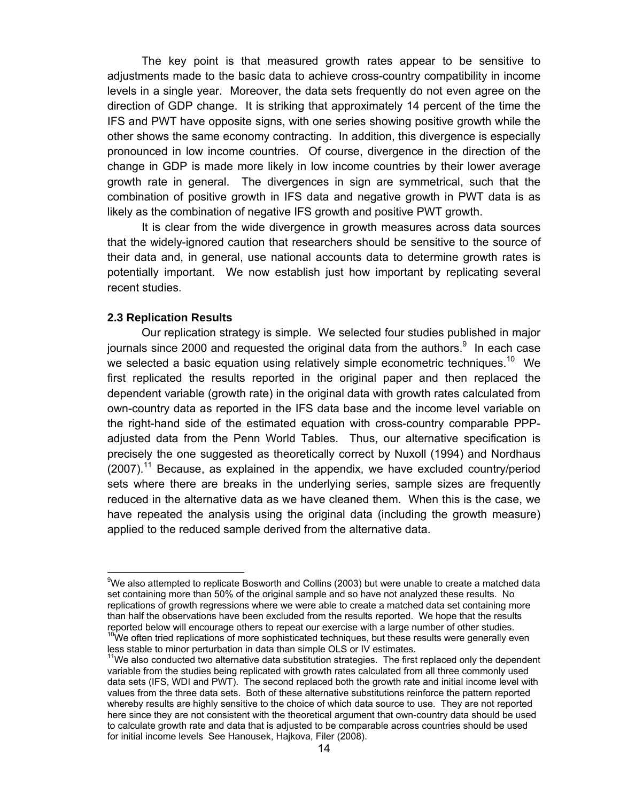The key point is that measured growth rates appear to be sensitive to adjustments made to the basic data to achieve cross-country compatibility in income levels in a single year. Moreover, the data sets frequently do not even agree on the direction of GDP change. It is striking that approximately 14 percent of the time the IFS and PWT have opposite signs, with one series showing positive growth while the other shows the same economy contracting. In addition, this divergence is especially pronounced in low income countries. Of course, divergence in the direction of the change in GDP is made more likely in low income countries by their lower average growth rate in general. The divergences in sign are symmetrical, such that the combination of positive growth in IFS data and negative growth in PWT data is as likely as the combination of negative IFS growth and positive PWT growth.

 It is clear from the wide divergence in growth measures across data sources that the widely-ignored caution that researchers should be sensitive to the source of their data and, in general, use national accounts data to determine growth rates is potentially important. We now establish just how important by replicating several recent studies.

#### **2.3 Replication Results**

 $\overline{a}$ 

Our replication strategy is simple. We selected four studies published in major journals since 2000 and requested the original data from the authors. $9\,$  In each case we selected a basic equation using relatively simple econometric techniques.<sup>10</sup> We first replicated the results reported in the original paper and then replaced the dependent variable (growth rate) in the original data with growth rates calculated from own-country data as reported in the IFS data base and the income level variable on the right-hand side of the estimated equation with cross-country comparable PPPadjusted data from the Penn World Tables. Thus, our alternative specification is precisely the one suggested as theoretically correct by Nuxoll (1994) and Nordhaus  $(2007)$ <sup>11</sup> Because, as explained in the appendix, we have excluded country/period sets where there are breaks in the underlying series, sample sizes are frequently reduced in the alternative data as we have cleaned them. When this is the case, we have repeated the analysis using the original data (including the growth measure) applied to the reduced sample derived from the alternative data.

<sup>&</sup>lt;sup>9</sup>We also attempted to replicate Bosworth and Collins (2003) but were unable to create a matched data set containing more than 50% of the original sample and so have not analyzed these results. No replications of growth regressions where we were able to create a matched data set containing more than half the observations have been excluded from the results reported. We hope that the results reported below will encourage others to repeat our exercise with a large number of other studies.<br><sup>10</sup>We often tried replications of more sophisticated techniques, but these results were generally even<br>less stable to minor

 $11$ We also conducted two alternative data substitution strategies. The first replaced only the dependent variable from the studies being replicated with growth rates calculated from all three commonly used data sets (IFS, WDI and PWT). The second replaced both the growth rate and initial income level with values from the three data sets. Both of these alternative substitutions reinforce the pattern reported whereby results are highly sensitive to the choice of which data source to use. They are not reported here since they are not consistent with the theoretical argument that own-country data should be used to calculate growth rate and data that is adjusted to be comparable across countries should be used for initial income levels See Hanousek, Hajkova, Filer (2008).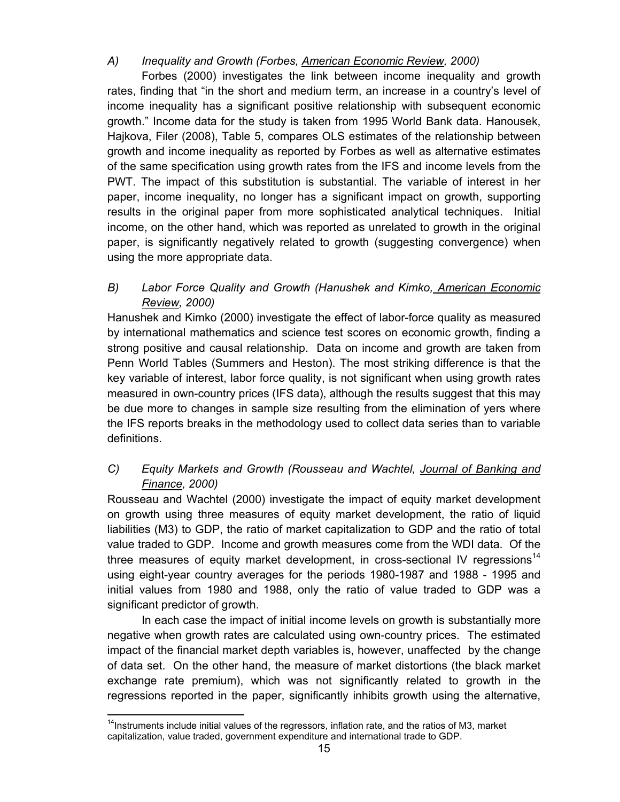# *A) Inequality and Growth (Forbes, American Economic Review, 2000)*

 Forbes (2000) investigates the link between income inequality and growth rates, finding that "in the short and medium term, an increase in a country's level of income inequality has a significant positive relationship with subsequent economic growth." Income data for the study is taken from 1995 World Bank data. Hanousek, Hajkova, Filer (2008), Table 5, compares OLS estimates of the relationship between growth and income inequality as reported by Forbes as well as alternative estimates of the same specification using growth rates from the IFS and income levels from the PWT. The impact of this substitution is substantial. The variable of interest in her paper, income inequality, no longer has a significant impact on growth, supporting results in the original paper from more sophisticated analytical techniques. Initial income, on the other hand, which was reported as unrelated to growth in the original paper, is significantly negatively related to growth (suggesting convergence) when using the more appropriate data.

# *B) Labor Force Quality and Growth (Hanushek and Kimko, American Economic Review, 2000)*

Hanushek and Kimko (2000) investigate the effect of labor-force quality as measured by international mathematics and science test scores on economic growth, finding a strong positive and causal relationship. Data on income and growth are taken from Penn World Tables (Summers and Heston). The most striking difference is that the key variable of interest, labor force quality, is not significant when using growth rates measured in own-country prices (IFS data), although the results suggest that this may be due more to changes in sample size resulting from the elimination of yers where the IFS reports breaks in the methodology used to collect data series than to variable definitions.

# *C) Equity Markets and Growth (Rousseau and Wachtel, Journal of Banking and Finance, 2000)*

Rousseau and Wachtel (2000) investigate the impact of equity market development on growth using three measures of equity market development, the ratio of liquid liabilities (M3) to GDP, the ratio of market capitalization to GDP and the ratio of total value traded to GDP. Income and growth measures come from the WDI data. Of the three measures of equity market development, in cross-sectional IV regressions<sup>14</sup> using eight-year country averages for the periods 1980-1987 and 1988 - 1995 and initial values from 1980 and 1988, only the ratio of value traded to GDP was a significant predictor of growth.

 In each case the impact of initial income levels on growth is substantially more negative when growth rates are calculated using own-country prices. The estimated impact of the financial market depth variables is, however, unaffected by the change of data set. On the other hand, the measure of market distortions (the black market exchange rate premium), which was not significantly related to growth in the regressions reported in the paper, significantly inhibits growth using the alternative,

 $\overline{a}$ <sup>14</sup>Instruments include initial values of the regressors, inflation rate, and the ratios of M3, market capitalization, value traded, government expenditure and international trade to GDP.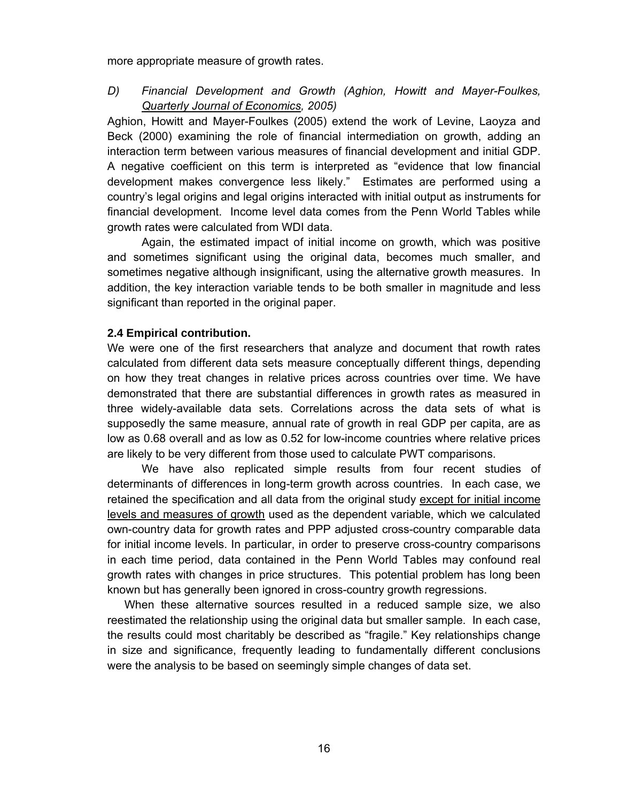more appropriate measure of growth rates.

*D) Financial Development and Growth (Aghion, Howitt and Mayer-Foulkes, Quarterly Journal of Economics, 2005)* 

Aghion, Howitt and Mayer-Foulkes (2005) extend the work of Levine, Laoyza and Beck (2000) examining the role of financial intermediation on growth, adding an interaction term between various measures of financial development and initial GDP. A negative coefficient on this term is interpreted as "evidence that low financial development makes convergence less likely." Estimates are performed using a country's legal origins and legal origins interacted with initial output as instruments for financial development. Income level data comes from the Penn World Tables while growth rates were calculated from WDI data.

 Again, the estimated impact of initial income on growth, which was positive and sometimes significant using the original data, becomes much smaller, and sometimes negative although insignificant, using the alternative growth measures. In addition, the key interaction variable tends to be both smaller in magnitude and less significant than reported in the original paper.

### **2.4 Empirical contribution.**

We were one of the first researchers that analyze and document that rowth rates calculated from different data sets measure conceptually different things, depending on how they treat changes in relative prices across countries over time. We have demonstrated that there are substantial differences in growth rates as measured in three widely-available data sets. Correlations across the data sets of what is supposedly the same measure, annual rate of growth in real GDP per capita, are as low as 0.68 overall and as low as 0.52 for low-income countries where relative prices are likely to be very different from those used to calculate PWT comparisons.

 We have also replicated simple results from four recent studies of determinants of differences in long-term growth across countries. In each case, we retained the specification and all data from the original study except for initial income levels and measures of growth used as the dependent variable, which we calculated own-country data for growth rates and PPP adjusted cross-country comparable data for initial income levels. In particular, in order to preserve cross-country comparisons in each time period, data contained in the Penn World Tables may confound real growth rates with changes in price structures. This potential problem has long been known but has generally been ignored in cross-country growth regressions.

When these alternative sources resulted in a reduced sample size, we also reestimated the relationship using the original data but smaller sample. In each case, the results could most charitably be described as "fragile." Key relationships change in size and significance, frequently leading to fundamentally different conclusions were the analysis to be based on seemingly simple changes of data set.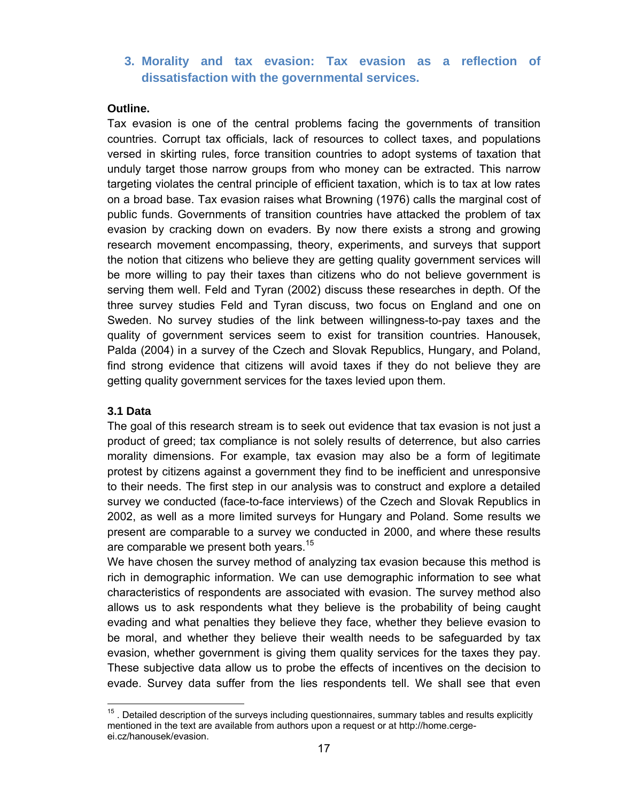# **3. Morality and tax evasion: Tax evasion as a reflection of dissatisfaction with the governmental services.**

## **Outline.**

Tax evasion is one of the central problems facing the governments of transition countries. Corrupt tax officials, lack of resources to collect taxes, and populations versed in skirting rules, force transition countries to adopt systems of taxation that unduly target those narrow groups from who money can be extracted. This narrow targeting violates the central principle of efficient taxation, which is to tax at low rates on a broad base. Tax evasion raises what Browning (1976) calls the marginal cost of public funds. Governments of transition countries have attacked the problem of tax evasion by cracking down on evaders. By now there exists a strong and growing research movement encompassing, theory, experiments, and surveys that support the notion that citizens who believe they are getting quality government services will be more willing to pay their taxes than citizens who do not believe government is serving them well. Feld and Tyran (2002) discuss these researches in depth. Of the three survey studies Feld and Tyran discuss, two focus on England and one on Sweden. No survey studies of the link between willingness-to-pay taxes and the quality of government services seem to exist for transition countries. Hanousek, Palda (2004) in a survey of the Czech and Slovak Republics, Hungary, and Poland, find strong evidence that citizens will avoid taxes if they do not believe they are getting quality government services for the taxes levied upon them.

# **3.1 Data**

The goal of this research stream is to seek out evidence that tax evasion is not just a product of greed; tax compliance is not solely results of deterrence, but also carries morality dimensions. For example, tax evasion may also be a form of legitimate protest by citizens against a government they find to be inefficient and unresponsive to their needs. The first step in our analysis was to construct and explore a detailed survey we conducted (face-to-face interviews) of the Czech and Slovak Republics in 2002, as well as a more limited surveys for Hungary and Poland. Some results we present are comparable to a survey we conducted in 2000, and where these results are comparable we present both years.<sup>15</sup>

We have chosen the survey method of analyzing tax evasion because this method is rich in demographic information. We can use demographic information to see what characteristics of respondents are associated with evasion. The survey method also allows us to ask respondents what they believe is the probability of being caught evading and what penalties they believe they face, whether they believe evasion to be moral, and whether they believe their wealth needs to be safeguarded by tax evasion, whether government is giving them quality services for the taxes they pay. These subjective data allow us to probe the effects of incentives on the decision to evade. Survey data suffer from the lies respondents tell. We shall see that even

 $\overline{a}$  $15$ . Detailed description of the surveys including questionnaires, summary tables and results explicitly mentioned in the text are available from authors upon a request or at http://home.cergeei.cz/hanousek/evasion.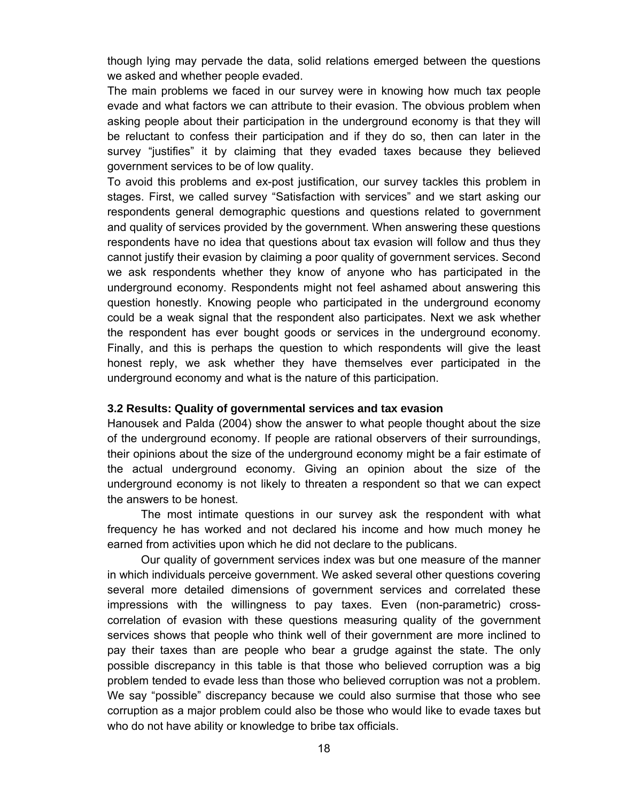though lying may pervade the data, solid relations emerged between the questions we asked and whether people evaded.

The main problems we faced in our survey were in knowing how much tax people evade and what factors we can attribute to their evasion. The obvious problem when asking people about their participation in the underground economy is that they will be reluctant to confess their participation and if they do so, then can later in the survey "justifies" it by claiming that they evaded taxes because they believed government services to be of low quality.

To avoid this problems and ex-post justification, our survey tackles this problem in stages. First, we called survey "Satisfaction with services" and we start asking our respondents general demographic questions and questions related to government and quality of services provided by the government. When answering these questions respondents have no idea that questions about tax evasion will follow and thus they cannot justify their evasion by claiming a poor quality of government services. Second we ask respondents whether they know of anyone who has participated in the underground economy. Respondents might not feel ashamed about answering this question honestly. Knowing people who participated in the underground economy could be a weak signal that the respondent also participates. Next we ask whether the respondent has ever bought goods or services in the underground economy. Finally, and this is perhaps the question to which respondents will give the least honest reply, we ask whether they have themselves ever participated in the underground economy and what is the nature of this participation.

### **3.2 Results: Quality of governmental services and tax evasion**

Hanousek and Palda (2004) show the answer to what people thought about the size of the underground economy. If people are rational observers of their surroundings, their opinions about the size of the underground economy might be a fair estimate of the actual underground economy. Giving an opinion about the size of the underground economy is not likely to threaten a respondent so that we can expect the answers to be honest.

The most intimate questions in our survey ask the respondent with what frequency he has worked and not declared his income and how much money he earned from activities upon which he did not declare to the publicans.

Our quality of government services index was but one measure of the manner in which individuals perceive government. We asked several other questions covering several more detailed dimensions of government services and correlated these impressions with the willingness to pay taxes. Even (non-parametric) crosscorrelation of evasion with these questions measuring quality of the government services shows that people who think well of their government are more inclined to pay their taxes than are people who bear a grudge against the state. The only possible discrepancy in this table is that those who believed corruption was a big problem tended to evade less than those who believed corruption was not a problem. We say "possible" discrepancy because we could also surmise that those who see corruption as a major problem could also be those who would like to evade taxes but who do not have ability or knowledge to bribe tax officials.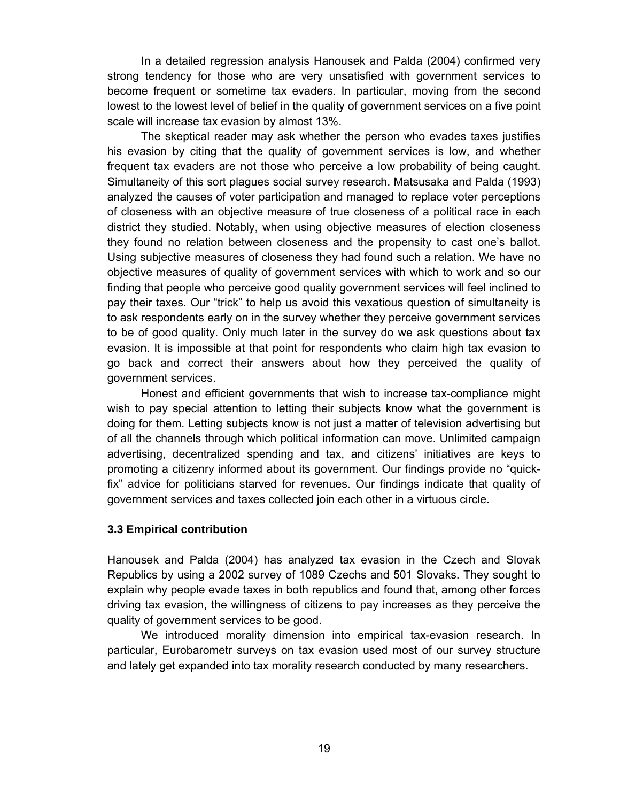In a detailed regression analysis Hanousek and Palda (2004) confirmed very strong tendency for those who are very unsatisfied with government services to become frequent or sometime tax evaders. In particular, moving from the second lowest to the lowest level of belief in the quality of government services on a five point scale will increase tax evasion by almost 13%.

The skeptical reader may ask whether the person who evades taxes justifies his evasion by citing that the quality of government services is low, and whether frequent tax evaders are not those who perceive a low probability of being caught. Simultaneity of this sort plagues social survey research. Matsusaka and Palda (1993) analyzed the causes of voter participation and managed to replace voter perceptions of closeness with an objective measure of true closeness of a political race in each district they studied. Notably, when using objective measures of election closeness they found no relation between closeness and the propensity to cast one's ballot. Using subjective measures of closeness they had found such a relation. We have no objective measures of quality of government services with which to work and so our finding that people who perceive good quality government services will feel inclined to pay their taxes. Our "trick" to help us avoid this vexatious question of simultaneity is to ask respondents early on in the survey whether they perceive government services to be of good quality. Only much later in the survey do we ask questions about tax evasion. It is impossible at that point for respondents who claim high tax evasion to go back and correct their answers about how they perceived the quality of government services.

Honest and efficient governments that wish to increase tax-compliance might wish to pay special attention to letting their subjects know what the government is doing for them. Letting subjects know is not just a matter of television advertising but of all the channels through which political information can move. Unlimited campaign advertising, decentralized spending and tax, and citizens' initiatives are keys to promoting a citizenry informed about its government. Our findings provide no "quickfix" advice for politicians starved for revenues. Our findings indicate that quality of government services and taxes collected join each other in a virtuous circle.

## **3.3 Empirical contribution**

Hanousek and Palda (2004) has analyzed tax evasion in the Czech and Slovak Republics by using a 2002 survey of 1089 Czechs and 501 Slovaks. They sought to explain why people evade taxes in both republics and found that, among other forces driving tax evasion, the willingness of citizens to pay increases as they perceive the quality of government services to be good.

We introduced morality dimension into empirical tax-evasion research. In particular, Eurobarometr surveys on tax evasion used most of our survey structure and lately get expanded into tax morality research conducted by many researchers.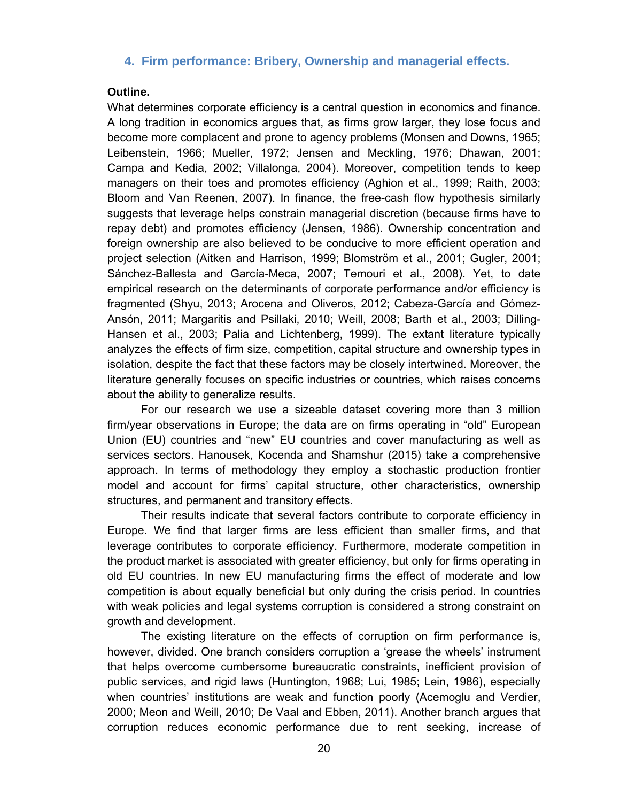## **4. Firm performance: Bribery, Ownership and managerial effects.**

### **Outline.**

What determines corporate efficiency is a central question in economics and finance. A long tradition in economics argues that, as firms grow larger, they lose focus and become more complacent and prone to agency problems (Monsen and Downs, 1965; Leibenstein, 1966; Mueller, 1972; Jensen and Meckling, 1976; Dhawan, 2001; Campa and Kedia, 2002; Villalonga, 2004). Moreover, competition tends to keep managers on their toes and promotes efficiency (Aghion et al., 1999; Raith, 2003; Bloom and Van Reenen, 2007). In finance, the free-cash flow hypothesis similarly suggests that leverage helps constrain managerial discretion (because firms have to repay debt) and promotes efficiency (Jensen, 1986). Ownership concentration and foreign ownership are also believed to be conducive to more efficient operation and project selection (Aitken and Harrison, 1999; Blomström et al., 2001; Gugler, 2001; Sánchez-Ballesta and García-Meca, 2007; Temouri et al., 2008). Yet, to date empirical research on the determinants of corporate performance and/or efficiency is fragmented (Shyu, 2013; Arocena and Oliveros, 2012; Cabeza-García and Gómez-Ansón, 2011; Margaritis and Psillaki, 2010; Weill, 2008; Barth et al., 2003; Dilling-Hansen et al., 2003; Palia and Lichtenberg, 1999). The extant literature typically analyzes the effects of firm size, competition, capital structure and ownership types in isolation, despite the fact that these factors may be closely intertwined. Moreover, the literature generally focuses on specific industries or countries, which raises concerns about the ability to generalize results.

For our research we use a sizeable dataset covering more than 3 million firm/year observations in Europe; the data are on firms operating in "old" European Union (EU) countries and "new" EU countries and cover manufacturing as well as services sectors. Hanousek, Kocenda and Shamshur (2015) take a comprehensive approach. In terms of methodology they employ a stochastic production frontier model and account for firms' capital structure, other characteristics, ownership structures, and permanent and transitory effects.

Their results indicate that several factors contribute to corporate efficiency in Europe. We find that larger firms are less efficient than smaller firms, and that leverage contributes to corporate efficiency. Furthermore, moderate competition in the product market is associated with greater efficiency, but only for firms operating in old EU countries. In new EU manufacturing firms the effect of moderate and low competition is about equally beneficial but only during the crisis period. In countries with weak policies and legal systems corruption is considered a strong constraint on growth and development.

The existing literature on the effects of corruption on firm performance is, however, divided. One branch considers corruption a 'grease the wheels' instrument that helps overcome cumbersome bureaucratic constraints, inefficient provision of public services, and rigid laws (Huntington, 1968; Lui, 1985; Lein, 1986), especially when countries' institutions are weak and function poorly (Acemoglu and Verdier, 2000; Meon and Weill, 2010; De Vaal and Ebben, 2011). Another branch argues that corruption reduces economic performance due to rent seeking, increase of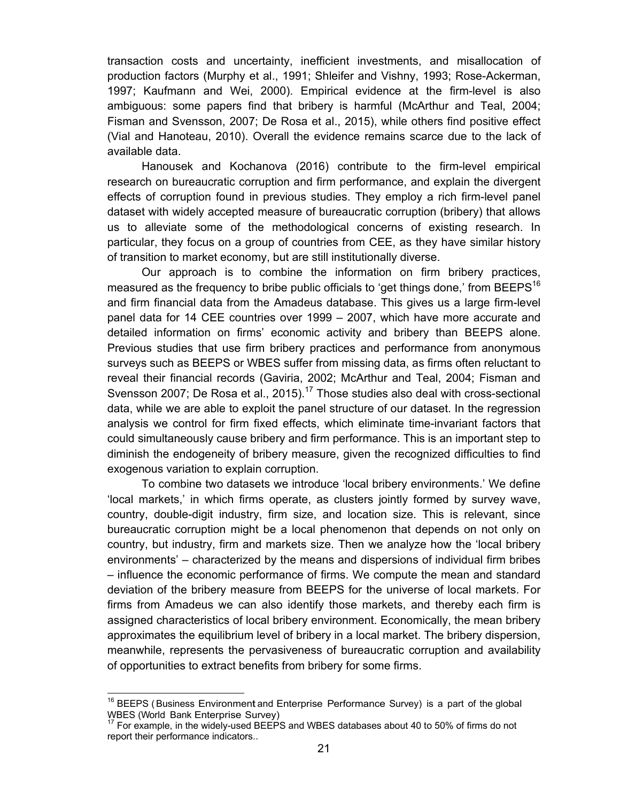transaction costs and uncertainty, inefficient investments, and misallocation of production factors (Murphy et al., 1991; Shleifer and Vishny, 1993; Rose-Ackerman, 1997; Kaufmann and Wei, 2000). Empirical evidence at the firm-level is also ambiguous: some papers find that bribery is harmful (McArthur and Teal, 2004; Fisman and Svensson, 2007; De Rosa et al., 2015), while others find positive effect (Vial and Hanoteau, 2010). Overall the evidence remains scarce due to the lack of available data.

Hanousek and Kochanova (2016) contribute to the firm-level empirical research on bureaucratic corruption and firm performance, and explain the divergent effects of corruption found in previous studies. They employ a rich firm-level panel dataset with widely accepted measure of bureaucratic corruption (bribery) that allows us to alleviate some of the methodological concerns of existing research. In particular, they focus on a group of countries from CEE, as they have similar history of transition to market economy, but are still institutionally diverse.

Our approach is to combine the information on firm bribery practices, measured as the frequency to bribe public officials to 'get things done,' from  $BEEPS^{16}$ and firm financial data from the Amadeus database. This gives us a large firm-level panel data for 14 CEE countries over 1999 – 2007, which have more accurate and detailed information on firms' economic activity and bribery than BEEPS alone. Previous studies that use firm bribery practices and performance from anonymous surveys such as BEEPS or WBES suffer from missing data, as firms often reluctant to reveal their financial records (Gaviria, 2002; McArthur and Teal, 2004; Fisman and Svensson 2007; De Rosa et al., 2015).<sup>17</sup> Those studies also deal with cross-sectional data, while we are able to exploit the panel structure of our dataset. In the regression analysis we control for firm fixed effects, which eliminate time-invariant factors that could simultaneously cause bribery and firm performance. This is an important step to diminish the endogeneity of bribery measure, given the recognized difficulties to find exogenous variation to explain corruption.

To combine two datasets we introduce 'local bribery environments.' We define 'local markets,' in which firms operate, as clusters jointly formed by survey wave, country, double-digit industry, firm size, and location size. This is relevant, since bureaucratic corruption might be a local phenomenon that depends on not only on country, but industry, firm and markets size. Then we analyze how the 'local bribery environments' – characterized by the means and dispersions of individual firm bribes – influence the economic performance of firms. We compute the mean and standard deviation of the bribery measure from BEEPS for the universe of local markets. For firms from Amadeus we can also identify those markets, and thereby each firm is assigned characteristics of local bribery environment. Economically, the mean bribery approximates the equilibrium level of bribery in a local market. The bribery dispersion, meanwhile, represents the pervasiveness of bureaucratic corruption and availability of opportunities to extract benefits from bribery for some firms.

<sup>&</sup>lt;sup>16</sup> BEEPS (Business Environment and Enterprise Performance Survey) is a part of the global WBES (World Bank Enterprise Survey)<br><sup>17</sup> For example, in the widely-used BEEPS and WBES databases about 40 to 50% of firms do not

report their performance indicators..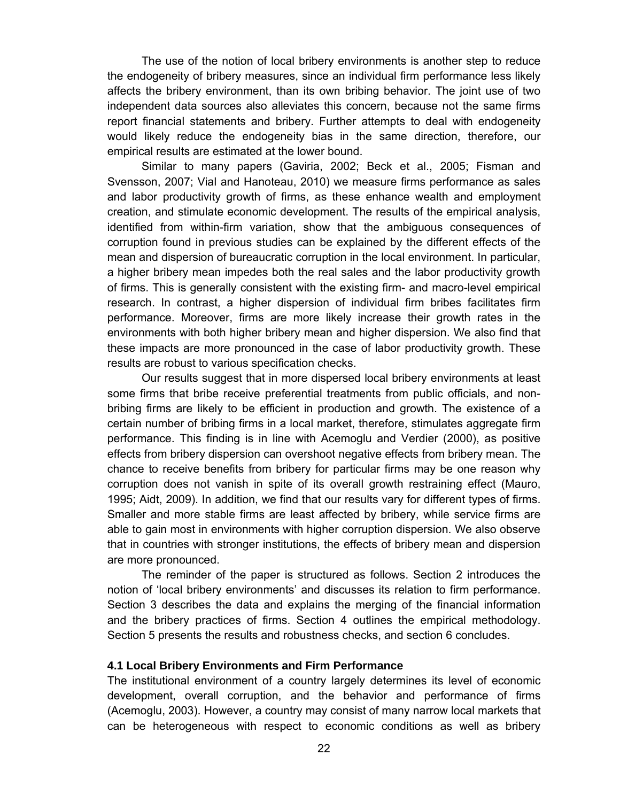The use of the notion of local bribery environments is another step to reduce the endogeneity of bribery measures, since an individual firm performance less likely affects the bribery environment, than its own bribing behavior. The joint use of two independent data sources also alleviates this concern, because not the same firms report financial statements and bribery. Further attempts to deal with endogeneity would likely reduce the endogeneity bias in the same direction, therefore, our empirical results are estimated at the lower bound.

Similar to many papers (Gaviria, 2002; Beck et al., 2005; Fisman and Svensson, 2007; Vial and Hanoteau, 2010) we measure firms performance as sales and labor productivity growth of firms, as these enhance wealth and employment creation, and stimulate economic development. The results of the empirical analysis, identified from within-firm variation, show that the ambiguous consequences of corruption found in previous studies can be explained by the different effects of the mean and dispersion of bureaucratic corruption in the local environment. In particular, a higher bribery mean impedes both the real sales and the labor productivity growth of firms. This is generally consistent with the existing firm- and macro-level empirical research. In contrast, a higher dispersion of individual firm bribes facilitates firm performance. Moreover, firms are more likely increase their growth rates in the environments with both higher bribery mean and higher dispersion. We also find that these impacts are more pronounced in the case of labor productivity growth. These results are robust to various specification checks.

Our results suggest that in more dispersed local bribery environments at least some firms that bribe receive preferential treatments from public officials, and nonbribing firms are likely to be efficient in production and growth. The existence of a certain number of bribing firms in a local market, therefore, stimulates aggregate firm performance. This finding is in line with Acemoglu and Verdier (2000), as positive effects from bribery dispersion can overshoot negative effects from bribery mean. The chance to receive benefits from bribery for particular firms may be one reason why corruption does not vanish in spite of its overall growth restraining effect (Mauro, 1995; Aidt, 2009). In addition, we find that our results vary for different types of firms. Smaller and more stable firms are least affected by bribery, while service firms are able to gain most in environments with higher corruption dispersion. We also observe that in countries with stronger institutions, the effects of bribery mean and dispersion are more pronounced.

The reminder of the paper is structured as follows. Section 2 introduces the notion of 'local bribery environments' and discusses its relation to firm performance. Section 3 describes the data and explains the merging of the financial information and the bribery practices of firms. Section 4 outlines the empirical methodology. Section 5 presents the results and robustness checks, and section 6 concludes.

### **4.1 Local Bribery Environments and Firm Performance**

The institutional environment of a country largely determines its level of economic development, overall corruption, and the behavior and performance of firms (Acemoglu, 2003). However, a country may consist of many narrow local markets that can be heterogeneous with respect to economic conditions as well as bribery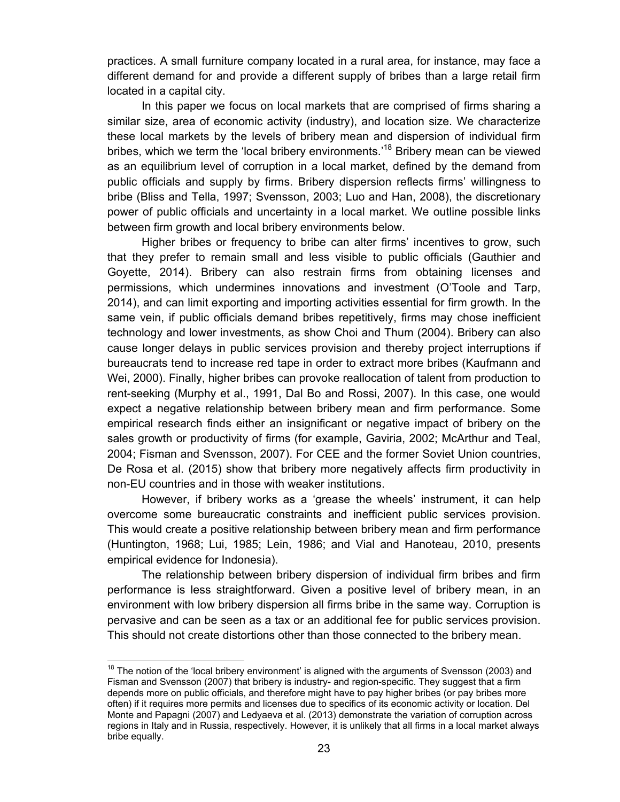practices. A small furniture company located in a rural area, for instance, may face a different demand for and provide a different supply of bribes than a large retail firm located in a capital city.

In this paper we focus on local markets that are comprised of firms sharing a similar size, area of economic activity (industry), and location size. We characterize these local markets by the levels of bribery mean and dispersion of individual firm bribes, which we term the 'local bribery environments.<sup>18</sup> Bribery mean can be viewed as an equilibrium level of corruption in a local market, defined by the demand from public officials and supply by firms. Bribery dispersion reflects firms' willingness to bribe (Bliss and Tella, 1997; Svensson, 2003; Luo and Han, 2008), the discretionary power of public officials and uncertainty in a local market. We outline possible links between firm growth and local bribery environments below.

Higher bribes or frequency to bribe can alter firms' incentives to grow, such that they prefer to remain small and less visible to public officials (Gauthier and Goyette, 2014). Bribery can also restrain firms from obtaining licenses and permissions, which undermines innovations and investment (O'Toole and Tarp, 2014), and can limit exporting and importing activities essential for firm growth. In the same vein, if public officials demand bribes repetitively, firms may chose inefficient technology and lower investments, as show Choi and Thum (2004). Bribery can also cause longer delays in public services provision and thereby project interruptions if bureaucrats tend to increase red tape in order to extract more bribes (Kaufmann and Wei, 2000). Finally, higher bribes can provoke reallocation of talent from production to rent-seeking (Murphy et al., 1991, Dal Bo and Rossi, 2007). In this case, one would expect a negative relationship between bribery mean and firm performance. Some empirical research finds either an insignificant or negative impact of bribery on the sales growth or productivity of firms (for example, Gaviria, 2002; McArthur and Teal, 2004; Fisman and Svensson, 2007). For CEE and the former Soviet Union countries, De Rosa et al. (2015) show that bribery more negatively affects firm productivity in non-EU countries and in those with weaker institutions.

However, if bribery works as a 'grease the wheels' instrument, it can help overcome some bureaucratic constraints and inefficient public services provision. This would create a positive relationship between bribery mean and firm performance (Huntington, 1968; Lui, 1985; Lein, 1986; and Vial and Hanoteau, 2010, presents empirical evidence for Indonesia).

The relationship between bribery dispersion of individual firm bribes and firm performance is less straightforward. Given a positive level of bribery mean, in an environment with low bribery dispersion all firms bribe in the same way. Corruption is pervasive and can be seen as a tax or an additional fee for public services provision. This should not create distortions other than those connected to the bribery mean.

 $18$  The notion of the 'local bribery environment' is aligned with the arguments of Svensson (2003) and Fisman and Svensson (2007) that bribery is industry- and region-specific. They suggest that a firm depends more on public officials, and therefore might have to pay higher bribes (or pay bribes more often) if it requires more permits and licenses due to specifics of its economic activity or location. Del Monte and Papagni (2007) and Ledyaeva et al. (2013) demonstrate the variation of corruption across regions in Italy and in Russia, respectively. However, it is unlikely that all firms in a local market always bribe equally.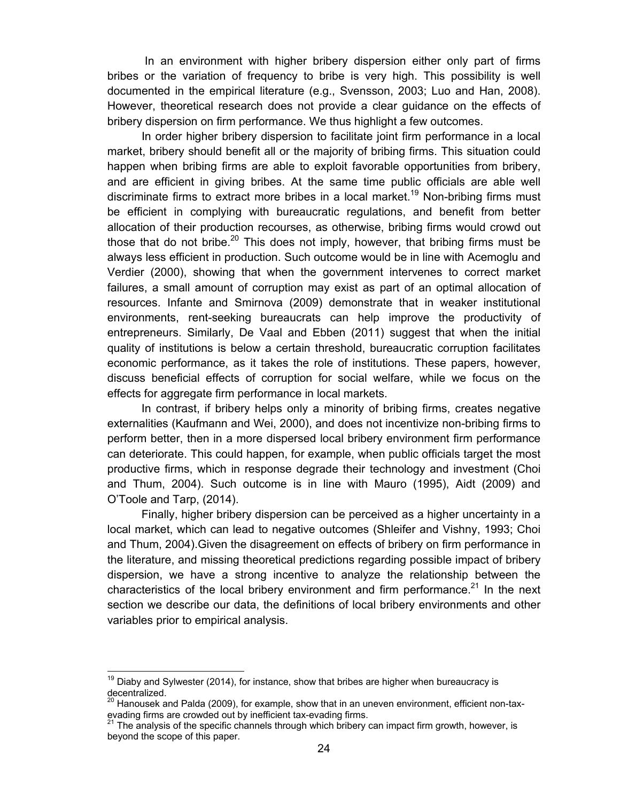In an environment with higher bribery dispersion either only part of firms bribes or the variation of frequency to bribe is very high. This possibility is well documented in the empirical literature (e.g., Svensson, 2003; Luo and Han, 2008). However, theoretical research does not provide a clear guidance on the effects of bribery dispersion on firm performance. We thus highlight a few outcomes.

In order higher bribery dispersion to facilitate joint firm performance in a local market, bribery should benefit all or the majority of bribing firms. This situation could happen when bribing firms are able to exploit favorable opportunities from bribery, and are efficient in giving bribes. At the same time public officials are able well discriminate firms to extract more bribes in a local market.<sup>19</sup> Non-bribing firms must be efficient in complying with bureaucratic regulations, and benefit from better allocation of their production recourses, as otherwise, bribing firms would crowd out those that do not bribe.<sup>20</sup> This does not imply, however, that bribing firms must be always less efficient in production. Such outcome would be in line with Acemoglu and Verdier (2000), showing that when the government intervenes to correct market failures, a small amount of corruption may exist as part of an optimal allocation of resources. Infante and Smirnova (2009) demonstrate that in weaker institutional environments, rent-seeking bureaucrats can help improve the productivity of entrepreneurs. Similarly, De Vaal and Ebben (2011) suggest that when the initial quality of institutions is below a certain threshold, bureaucratic corruption facilitates economic performance, as it takes the role of institutions. These papers, however, discuss beneficial effects of corruption for social welfare, while we focus on the effects for aggregate firm performance in local markets.

In contrast, if bribery helps only a minority of bribing firms, creates negative externalities (Kaufmann and Wei, 2000), and does not incentivize non-bribing firms to perform better, then in a more dispersed local bribery environment firm performance can deteriorate. This could happen, for example, when public officials target the most productive firms, which in response degrade their technology and investment (Choi and Thum, 2004). Such outcome is in line with Mauro (1995), Aidt (2009) and O'Toole and Tarp, (2014).

Finally, higher bribery dispersion can be perceived as a higher uncertainty in a local market, which can lead to negative outcomes (Shleifer and Vishny, 1993; Choi and Thum, 2004).Given the disagreement on effects of bribery on firm performance in the literature, and missing theoretical predictions regarding possible impact of bribery dispersion, we have a strong incentive to analyze the relationship between the characteristics of the local bribery environment and firm performance.<sup>21</sup> In the next section we describe our data, the definitions of local bribery environments and other variables prior to empirical analysis.

 $\overline{a}$  $19$  Diaby and Sylwester (2014), for instance, show that bribes are higher when bureaucracy is decentralized.

 $^{20}$  Hanousek and Palda (2009), for example, show that in an uneven environment, efficient non-taxevading firms are crowded out by inefficient tax-evading firms.

 $21$  The analysis of the specific channels through which bribery can impact firm growth, however, is beyond the scope of this paper.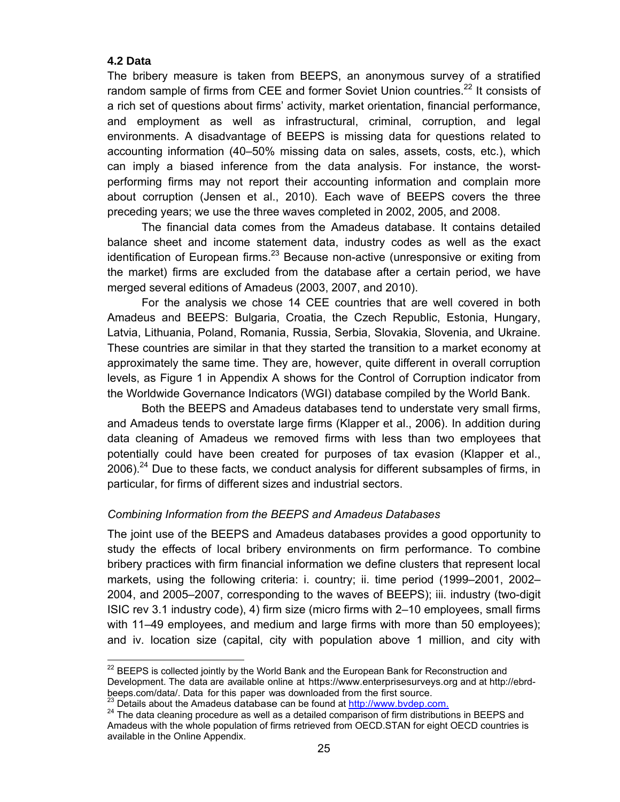## **4.2 Data**

 $\overline{a}$ 

The bribery measure is taken from BEEPS, an anonymous survey of a stratified random sample of firms from CEE and former Soviet Union countries.<sup>22</sup> It consists of a rich set of questions about firms' activity, market orientation, financial performance, and employment as well as infrastructural, criminal, corruption, and legal environments. A disadvantage of BEEPS is missing data for questions related to accounting information (40–50% missing data on sales, assets, costs, etc.), which can imply a biased inference from the data analysis. For instance, the worstperforming firms may not report their accounting information and complain more about corruption (Jensen et al., 2010). Each wave of BEEPS covers the three preceding years; we use the three waves completed in 2002, 2005, and 2008.

The financial data comes from the Amadeus database. It contains detailed balance sheet and income statement data, industry codes as well as the exact identification of European firms. $^{23}$  Because non-active (unresponsive or exiting from the market) firms are excluded from the database after a certain period, we have merged several editions of Amadeus (2003, 2007, and 2010).

For the analysis we chose 14 CEE countries that are well covered in both Amadeus and BEEPS: Bulgaria, Croatia, the Czech Republic, Estonia, Hungary, Latvia, Lithuania, Poland, Romania, Russia, Serbia, Slovakia, Slovenia, and Ukraine. These countries are similar in that they started the transition to a market economy at approximately the same time. They are, however, quite different in overall corruption levels, as Figure 1 in Appendix A shows for the Control of Corruption indicator from the Worldwide Governance Indicators (WGI) database compiled by the World Bank.

Both the BEEPS and Amadeus databases tend to understate very small firms, and Amadeus tends to overstate large firms (Klapper et al., 2006). In addition during data cleaning of Amadeus we removed firms with less than two employees that potentially could have been created for purposes of tax evasion (Klapper et al., 2006).<sup>24</sup> Due to these facts, we conduct analysis for different subsamples of firms, in particular, for firms of different sizes and industrial sectors.

## *Combining Information from the BEEPS and Amadeus Databases*

The joint use of the BEEPS and Amadeus databases provides a good opportunity to study the effects of local bribery environments on firm performance. To combine bribery practices with firm financial information we define clusters that represent local markets, using the following criteria: i. country; ii. time period (1999–2001, 2002– 2004, and 2005–2007, corresponding to the waves of BEEPS); iii. industry (two-digit ISIC rev 3.1 industry code), 4) firm size (micro firms with 2–10 employees, small firms with 11–49 employees, and medium and large firms with more than 50 employees); and iv. location size (capital, city with population above 1 million, and city with

 $^{22}$  BEEPS is collected jointly by the World Bank and the European Bank for Reconstruction and Development. The data are available online at https://www.enterprisesurveys.org and at http://ebrdbeeps.com/data/. Data for this paper was downloaded from the first source.<br><sup>23</sup> Details about the Amadeus database can be found at http://www.bvdep.com.<br><sup>24</sup> The data cleaning procedure as well as a detailed comparison of

Amadeus with the whole population of firms retrieved from OECD.STAN for eight OECD countries is available in the Online Appendix.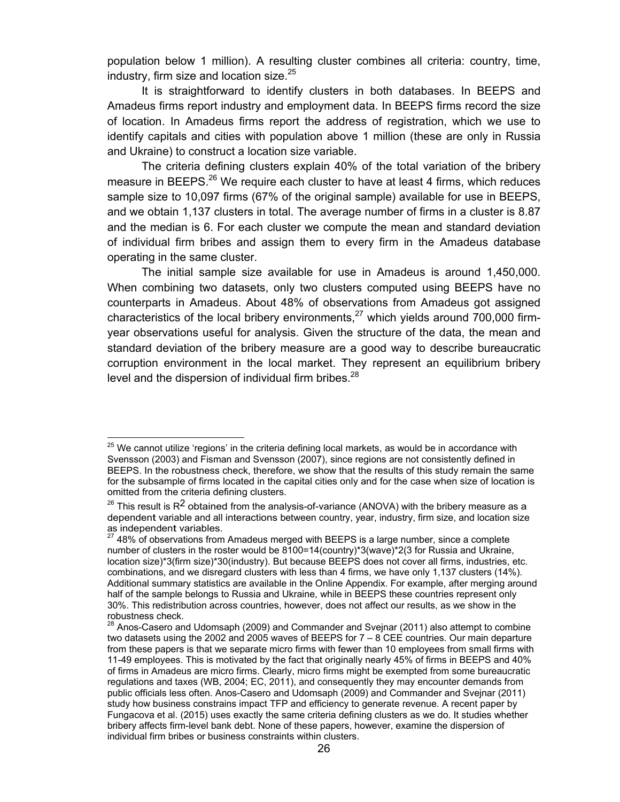population below 1 million). A resulting cluster combines all criteria: country, time, industry, firm size and location size. $25$ 

It is straightforward to identify clusters in both databases. In BEEPS and Amadeus firms report industry and employment data. In BEEPS firms record the size of location. In Amadeus firms report the address of registration, which we use to identify capitals and cities with population above 1 million (these are only in Russia and Ukraine) to construct a location size variable.

The criteria defining clusters explain 40% of the total variation of the bribery measure in BEEPS.<sup>26</sup> We require each cluster to have at least 4 firms, which reduces sample size to 10,097 firms (67% of the original sample) available for use in BEEPS, and we obtain 1,137 clusters in total. The average number of firms in a cluster is 8.87 and the median is 6. For each cluster we compute the mean and standard deviation of individual firm bribes and assign them to every firm in the Amadeus database operating in the same cluster.

The initial sample size available for use in Amadeus is around 1,450,000. When combining two datasets, only two clusters computed using BEEPS have no counterparts in Amadeus. About 48% of observations from Amadeus got assigned characteristics of the local bribery environments, $^{27}$  which yields around 700,000 firmyear observations useful for analysis. Given the structure of the data, the mean and standard deviation of the bribery measure are a good way to describe bureaucratic corruption environment in the local market. They represent an equilibrium bribery level and the dispersion of individual firm bribes.<sup>28</sup>

 $25$  We cannot utilize 'regions' in the criteria defining local markets, as would be in accordance with Svensson (2003) and Fisman and Svensson (2007), since regions are not consistently defined in BEEPS. In the robustness check, therefore, we show that the results of this study remain the same for the subsample of firms located in the capital cities only and for the case when size of location is omitted from the criteria defining clusters.

<sup>&</sup>lt;sup>26</sup> This result is R<sup>2</sup> obtained from the analysis-of-variance (ANOVA) with the bribery measure as a dependent variable and all interactions between country, year, industry, firm size, and location size as independent variables.<br><sup>27</sup> 48% of observations from Amadeus merged with BEEPS is a large number, since a complete

number of clusters in the roster would be 8100=14(country)\*3(wave)\*2(3 for Russia and Ukraine, location size)\*3(firm size)\*30(industry). But because BEEPS does not cover all firms, industries, etc. combinations, and we disregard clusters with less than 4 firms, we have only 1,137 clusters (14%). Additional summary statistics are available in the Online Appendix. For example, after merging around half of the sample belongs to Russia and Ukraine, while in BEEPS these countries represent only 30%. This redistribution across countries, however, does not affect our results, as we show in the robustness check.

 $^{28}$  Anos-Casero and Udomsaph (2009) and Commander and Svejnar (2011) also attempt to combine two datasets using the 2002 and 2005 waves of BEEPS for 7 – 8 CEE countries. Our main departure from these papers is that we separate micro firms with fewer than 10 employees from small firms with 11-49 employees. This is motivated by the fact that originally nearly 45% of firms in BEEPS and 40% of firms in Amadeus are micro firms. Clearly, micro firms might be exempted from some bureaucratic regulations and taxes (WB, 2004; EC, 2011), and consequently they may encounter demands from public officials less often. Anos-Casero and Udomsaph (2009) and Commander and Svejnar (2011) study how business constrains impact TFP and efficiency to generate revenue. A recent paper by Fungacova et al. (2015) uses exactly the same criteria defining clusters as we do. It studies whether bribery affects firm-level bank debt. None of these papers, however, examine the dispersion of individual firm bribes or business constraints within clusters.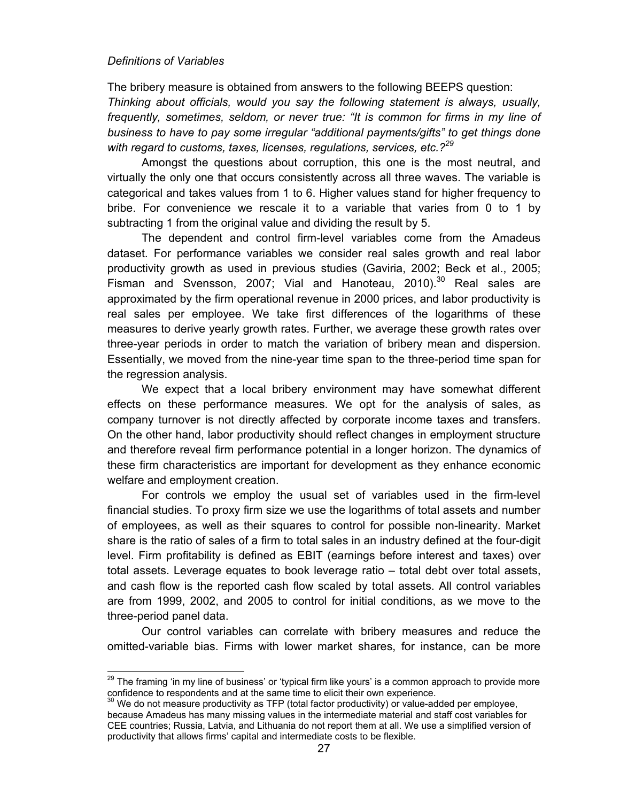### *Definitions of Variables*

 $\overline{a}$ 

The bribery measure is obtained from answers to the following BEEPS question: *Thinking about officials, would you say the following statement is always, usually, frequently, sometimes, seldom, or never true: "It is common for firms in my line of business to have to pay some irregular "additional payments/gifts" to get things done with regard to customs, taxes, licenses, regulations, services, etc.?29*

Amongst the questions about corruption, this one is the most neutral, and virtually the only one that occurs consistently across all three waves. The variable is categorical and takes values from 1 to 6. Higher values stand for higher frequency to bribe. For convenience we rescale it to a variable that varies from 0 to 1 by subtracting 1 from the original value and dividing the result by 5.

The dependent and control firm-level variables come from the Amadeus dataset. For performance variables we consider real sales growth and real labor productivity growth as used in previous studies (Gaviria, 2002; Beck et al., 2005; Fisman and Svensson, 2007; Vial and Hanoteau, 2010).<sup>30</sup> Real sales are approximated by the firm operational revenue in 2000 prices, and labor productivity is real sales per employee. We take first differences of the logarithms of these measures to derive yearly growth rates. Further, we average these growth rates over three-year periods in order to match the variation of bribery mean and dispersion. Essentially, we moved from the nine-year time span to the three-period time span for the regression analysis.

We expect that a local bribery environment may have somewhat different effects on these performance measures. We opt for the analysis of sales, as company turnover is not directly affected by corporate income taxes and transfers. On the other hand, labor productivity should reflect changes in employment structure and therefore reveal firm performance potential in a longer horizon. The dynamics of these firm characteristics are important for development as they enhance economic welfare and employment creation.

For controls we employ the usual set of variables used in the firm-level financial studies. To proxy firm size we use the logarithms of total assets and number of employees, as well as their squares to control for possible non-linearity. Market share is the ratio of sales of a firm to total sales in an industry defined at the four-digit level. Firm profitability is defined as EBIT (earnings before interest and taxes) over total assets. Leverage equates to book leverage ratio – total debt over total assets, and cash flow is the reported cash flow scaled by total assets. All control variables are from 1999, 2002, and 2005 to control for initial conditions, as we move to the three-period panel data.

Our control variables can correlate with bribery measures and reduce the omitted-variable bias. Firms with lower market shares, for instance, can be more

<sup>&</sup>lt;sup>29</sup> The framing 'in my line of business' or 'typical firm like yours' is a common approach to provide more confidence to respondents and at the same time to elicit their own experience.

 $30$  We do not measure productivity as TFP (total factor productivity) or value-added per employee, because Amadeus has many missing values in the intermediate material and staff cost variables for CEE countries; Russia, Latvia, and Lithuania do not report them at all. We use a simplified version of productivity that allows firms' capital and intermediate costs to be flexible.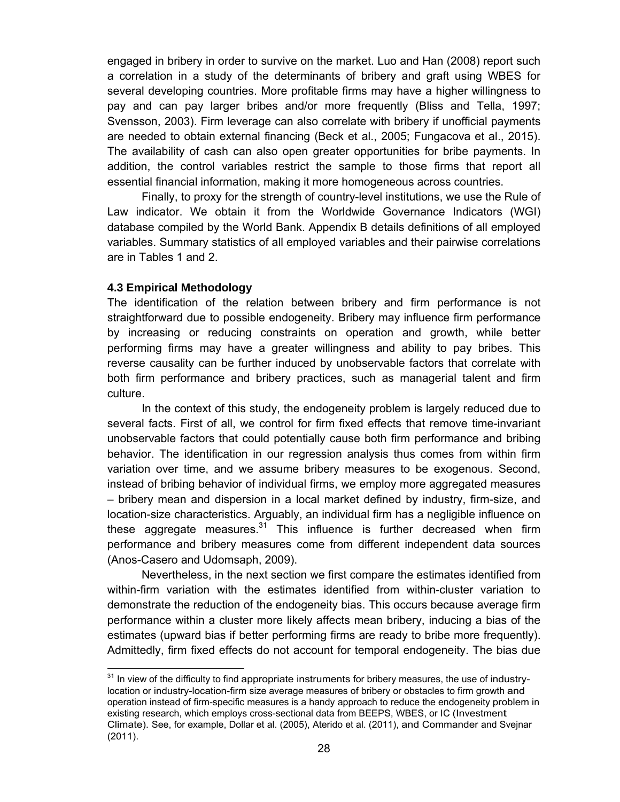engaged in bribery in order to survive on the market. Luo and Han (2008) report such a correlation in a study of the determinants of bribery and graft using WBES for several developing countries. More profitable firms may have a higher willingness to pay and can pay larger bribes and/or more frequently (Bliss and Tella, 1997; Svensson, 2003). Firm leverage can also correlate with bribery if unofficial payments are needed to obtain external financing (Beck et al., 2005; Fungacova et al., 2015). The availability of cash can also open greater opportunities for bribe payments. In addition, the control variables restrict the sample to those firms that report all essential financial information, making it more homogeneous across countries.

Finally, to proxy for the strength of country-level institutions, we use the Rule of Law indicator. We obtain it from the Worldwide Governance Indicators (WGI) database compiled by the World Bank. Appendix B details definitions of all employed variables. Summary statistics of all employed variables and their pairwise correlations are in Tables 1 and 2.

## **4.3 Empirical Methodology**

 $\overline{a}$ 

The identification of the relation between bribery and firm performance is not straightforward due to possible endogeneity. Bribery may influence firm performance by increasing or reducing constraints on operation and growth, while better performing firms may have a greater willingness and ability to pay bribes. This reverse causality can be further induced by unobservable factors that correlate with both firm performance and bribery practices, such as managerial talent and firm culture.

In the context of this study, the endogeneity problem is largely reduced due to several facts. First of all, we control for firm fixed effects that remove time-invariant unobservable factors that could potentially cause both firm performance and bribing behavior. The identification in our regression analysis thus comes from within firm variation over time, and we assume bribery measures to be exogenous. Second, instead of bribing behavior of individual firms, we employ more aggregated measures – bribery mean and dispersion in a local market defined by industry, firm-size, and location-size characteristics. Arguably, an individual firm has a negligible influence on these aggregate measures. $31$  This influence is further decreased when firm performance and bribery measures come from different independent data sources (Anos-Casero and Udomsaph, 2009).

Nevertheless, in the next section we first compare the estimates identified from within-firm variation with the estimates identified from within-cluster variation to demonstrate the reduction of the endogeneity bias. This occurs because average firm performance within a cluster more likely affects mean bribery, inducing a bias of the estimates (upward bias if better performing firms are ready to bribe more frequently). Admittedly, firm fixed effects do not account for temporal endogeneity. The bias due

 $31$  In view of the difficulty to find appropriate instruments for bribery measures, the use of industrylocation or industry-location-firm size average measures of bribery or obstacles to firm growth and operation instead of firm-specific measures is a handy approach to reduce the endogeneity problem in existing research, which employs cross-sectional data from BEEPS, WBES, or IC (Investment Climate). See, for example, Dollar et al. (2005), Aterido et al. (2011), and Commander and Svejnar (2011).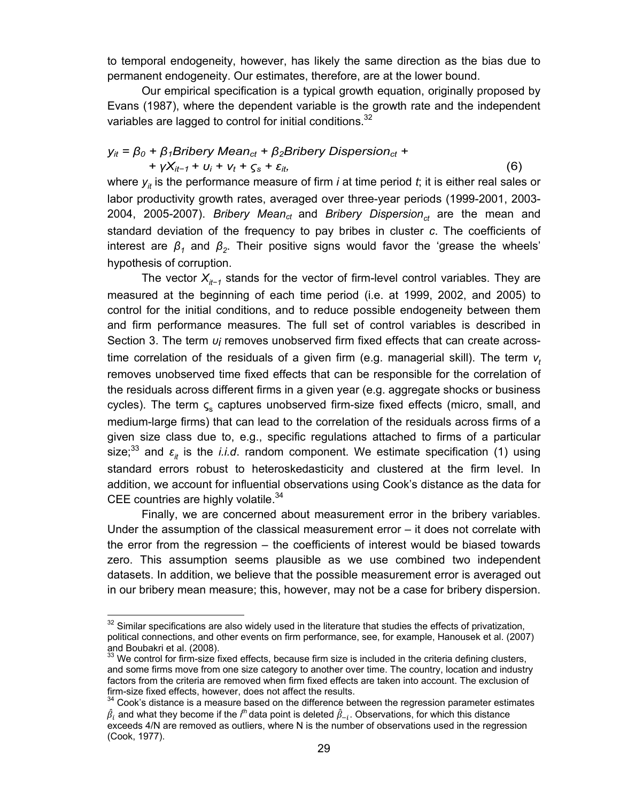to temporal endogeneity, however, has likely the same direction as the bias due to permanent endogeneity. Our estimates, therefore, are at the lower bound.

Our empirical specification is a typical growth equation, originally proposed by Evans (1987), where the dependent variable is the growth rate and the independent variables are lagged to control for initial conditions.<sup>32</sup>

### *yit = β0 + β1Bribery Meanct + β2Bribery Dispersionct +*

 $+ \gamma X_{it-1} + U_i + V_t + \zeta_s + \varepsilon_{it}$  (6) where  $y_{it}$  is the performance measure of firm *i* at time period *t*; it is either real sales or labor productivity growth rates, averaged over three-year periods (1999-2001, 2003- 2004, 2005-2007). *Bribery Mean<sub>ct</sub>* and *Bribery Dispersion<sub>ct</sub>* are the mean and standard deviation of the frequency to pay bribes in cluster *c*. The coefficients of interest are  $β_1$  and  $β_2$ . Their positive signs would favor the 'grease the wheels' hypothesis of corruption.

The vector *X<sub>it−1</sub>* stands for the vector of firm-level control variables. They are measured at the beginning of each time period (i.e. at 1999, 2002, and 2005) to control for the initial conditions, and to reduce possible endogeneity between them and firm performance measures. The full set of control variables is described in Section 3. The term *υi* removes unobserved firm fixed effects that can create acrosstime correlation of the residuals of a given firm (e.g. managerial skill). The term *ν<sup>t</sup>* removes unobserved time fixed effects that can be responsible for the correlation of the residuals across different firms in a given year (e.g. aggregate shocks or business cycles). The term  $\varsigma_{s}$  captures unobserved firm-size fixed effects (micro, small, and medium-large firms) that can lead to the correlation of the residuals across firms of a given size class due to, e.g., specific regulations attached to firms of a particular size;<sup>33</sup> and  $\varepsilon$ <sub>*it*</sub> is the *i.i.d*. random component. We estimate specification (1) using standard errors robust to heteroskedasticity and clustered at the firm level. In addition, we account for influential observations using Cook's distance as the data for CEE countries are highly volatile. $34$ 

Finally, we are concerned about measurement error in the bribery variables. Under the assumption of the classical measurement error – it does not correlate with the error from the regression – the coefficients of interest would be biased towards zero. This assumption seems plausible as we use combined two independent datasets. In addition, we believe that the possible measurement error is averaged out in our bribery mean measure; this, however, may not be a case for bribery dispersion.

 $32$  Similar specifications are also widely used in the literature that studies the effects of privatization, political connections, and other events on firm performance, see, for example, Hanousek et al. (2007) and Boubakri et al. (2008).

 $33$  We control for firm-size fixed effects, because firm size is included in the criteria defining clusters, and some firms move from one size category to another over time. The country, location and industry factors from the criteria are removed when firm fixed effects are taken into account. The exclusion of firm-size fixed effects, however, does not affect the results.

 $34$  Cook's distance is a measure based on the difference between the regression parameter estimates  $\hat{\beta}_i$  and what they become if the *i*<sup>th</sup> data point is deleted  $\hat{\beta}_{-i}$ . Observations, for which this distance exceeds 4/N are removed as outliers, where N is the number of observations used in the regression (Cook, 1977).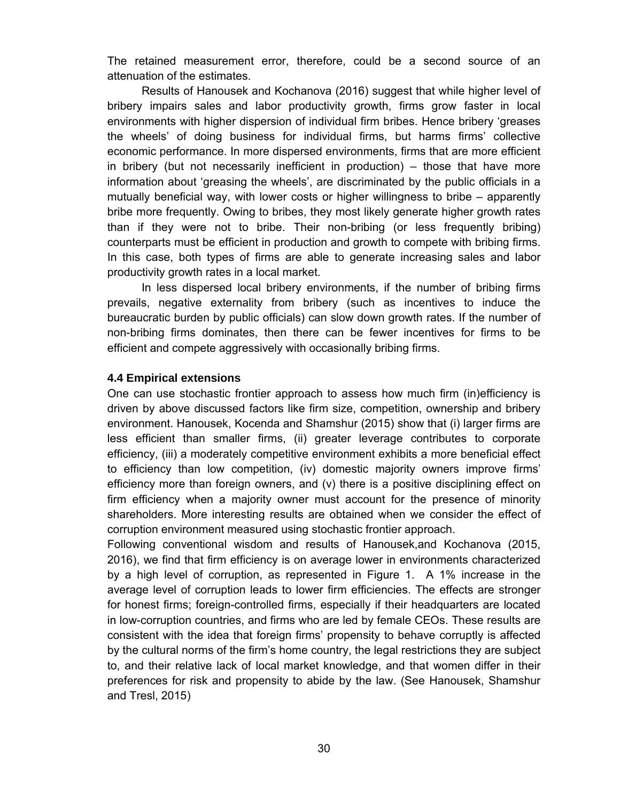The retained measurement error, therefore, could be a second source of an attenuation of the estimates.

Results of Hanousek and Kochanova (2016) suggest that while higher level of bribery impairs sales and labor productivity growth, firms grow faster in local environments with higher dispersion of individual firm bribes. Hence bribery 'greases the wheels' of doing business for individual firms, but harms firms' collective economic performance. In more dispersed environments, firms that are more efficient in bribery (but not necessarily inefficient in production) – those that have more information about 'greasing the wheels', are discriminated by the public officials in a mutually beneficial way, with lower costs or higher willingness to bribe – apparently bribe more frequently. Owing to bribes, they most likely generate higher growth rates than if they were not to bribe. Their non-bribing (or less frequently bribing) counterparts must be efficient in production and growth to compete with bribing firms. In this case, both types of firms are able to generate increasing sales and labor productivity growth rates in a local market.

In less dispersed local bribery environments, if the number of bribing firms prevails, negative externality from bribery (such as incentives to induce the bureaucratic burden by public officials) can slow down growth rates. If the number of non-bribing firms dominates, then there can be fewer incentives for firms to be efficient and compete aggressively with occasionally bribing firms.

### **4.4 Empirical extensions**

One can use stochastic frontier approach to assess how much firm (in)efficiency is driven by above discussed factors like firm size, competition, ownership and bribery environment. Hanousek, Kocenda and Shamshur (2015) show that (i) larger firms are less efficient than smaller firms, (ii) greater leverage contributes to corporate efficiency, (iii) a moderately competitive environment exhibits a more beneficial effect to efficiency than low competition, (iv) domestic majority owners improve firms' efficiency more than foreign owners, and (v) there is a positive disciplining effect on firm efficiency when a majority owner must account for the presence of minority shareholders. More interesting results are obtained when we consider the effect of corruption environment measured using stochastic frontier approach.

Following conventional wisdom and results of Hanousek,and Kochanova (2015, 2016), we find that firm efficiency is on average lower in environments characterized by a high level of corruption, as represented in Figure 1. A 1% increase in the average level of corruption leads to lower firm efficiencies. The effects are stronger for honest firms; foreign-controlled firms, especially if their headquarters are located in low-corruption countries, and firms who are led by female CEOs. These results are consistent with the idea that foreign firms' propensity to behave corruptly is affected by the cultural norms of the firm's home country, the legal restrictions they are subject to, and their relative lack of local market knowledge, and that women differ in their preferences for risk and propensity to abide by the law. (See Hanousek, Shamshur and Tresl, 2015)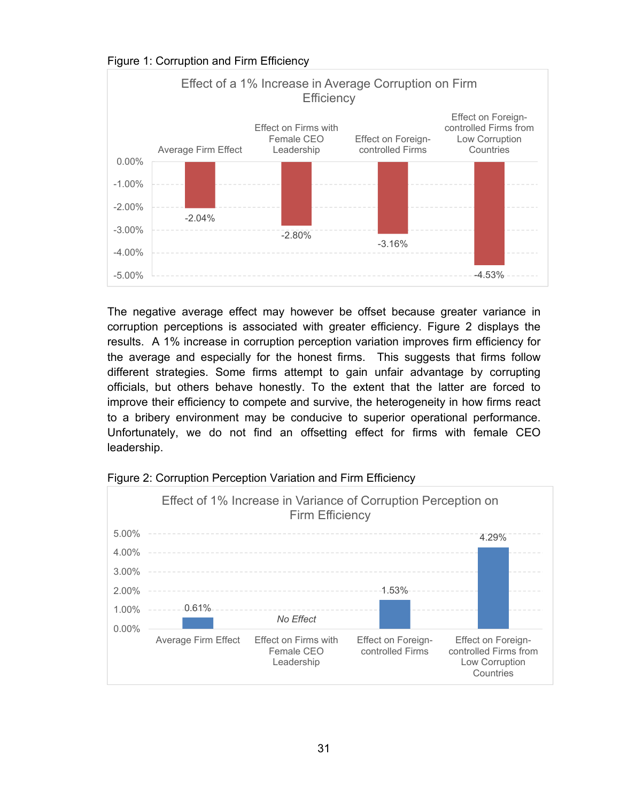

Figure 1: Corruption and Firm Efficiency

The negative average effect may however be offset because greater variance in corruption perceptions is associated with greater efficiency. Figure 2 displays the results. A 1% increase in corruption perception variation improves firm efficiency for the average and especially for the honest firms. This suggests that firms follow different strategies. Some firms attempt to gain unfair advantage by corrupting officials, but others behave honestly. To the extent that the latter are forced to improve their efficiency to compete and survive, the heterogeneity in how firms react to a bribery environment may be conducive to superior operational performance. Unfortunately, we do not find an offsetting effect for firms with female CEO leadership.



Figure 2: Corruption Perception Variation and Firm Efficiency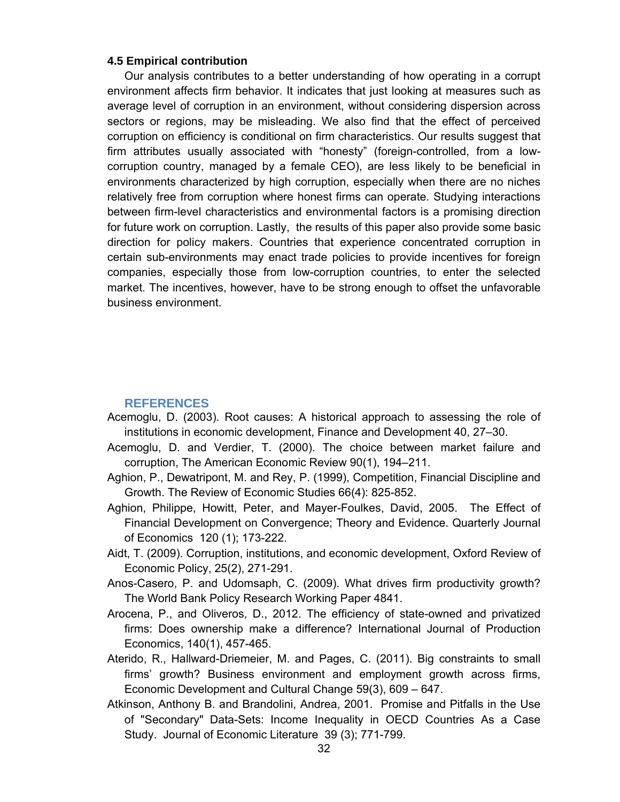### **4.5 Empirical contribution**

Our analysis contributes to a better understanding of how operating in a corrupt environment affects firm behavior. It indicates that just looking at measures such as average level of corruption in an environment, without considering dispersion across sectors or regions, may be misleading. We also find that the effect of perceived corruption on efficiency is conditional on firm characteristics. Our results suggest that firm attributes usually associated with "honesty" (foreign-controlled, from a lowcorruption country, managed by a female CEO), are less likely to be beneficial in environments characterized by high corruption, especially when there are no niches relatively free from corruption where honest firms can operate. Studying interactions between firm-level characteristics and environmental factors is a promising direction for future work on corruption. Lastly, the results of this paper also provide some basic direction for policy makers. Countries that experience concentrated corruption in certain sub-environments may enact trade policies to provide incentives for foreign companies, especially those from low-corruption countries, to enter the selected market. The incentives, however, have to be strong enough to offset the unfavorable business environment.

#### **REFERENCES**

- Acemoglu, D. (2003). Root causes: A historical approach to assessing the role of institutions in economic development, Finance and Development 40, 27–30.
- Acemoglu, D. and Verdier, T. (2000). The choice between market failure and corruption, The American Economic Review 90(1), 194–211.
- Aghion, P., Dewatripont, M. and Rey, P. (1999), Competition, Financial Discipline and Growth. The Review of Economic Studies 66(4): 825-852.
- Aghion, Philippe, Howitt, Peter, and Mayer-Foulkes, David, 2005. The Effect of Financial Development on Convergence; Theory and Evidence. Quarterly Journal of Economics 120 (1); 173-222.
- Aidt, T. (2009). Corruption, institutions, and economic development, Oxford Review of Economic Policy, 25(2), 271-291.
- Anos-Casero, P. and Udomsaph, C. (2009). What drives firm productivity growth? The World Bank Policy Research Working Paper 4841.
- Arocena, P., and Oliveros, D., 2012. The efficiency of state-owned and privatized firms: Does ownership make a difference? International Journal of Production Economics, 140(1), 457-465.
- Aterido, R., Hallward-Driemeier, M. and Pages, C. (2011). Big constraints to small firms' growth? Business environment and employment growth across firms, Economic Development and Cultural Change 59(3), 609 – 647.
- Atkinson, Anthony B. and Brandolini, Andrea, 2001. Promise and Pitfalls in the Use of "Secondary" Data-Sets: Income Inequality in OECD Countries As a Case Study. Journal of Economic Literature 39 (3); 771-799.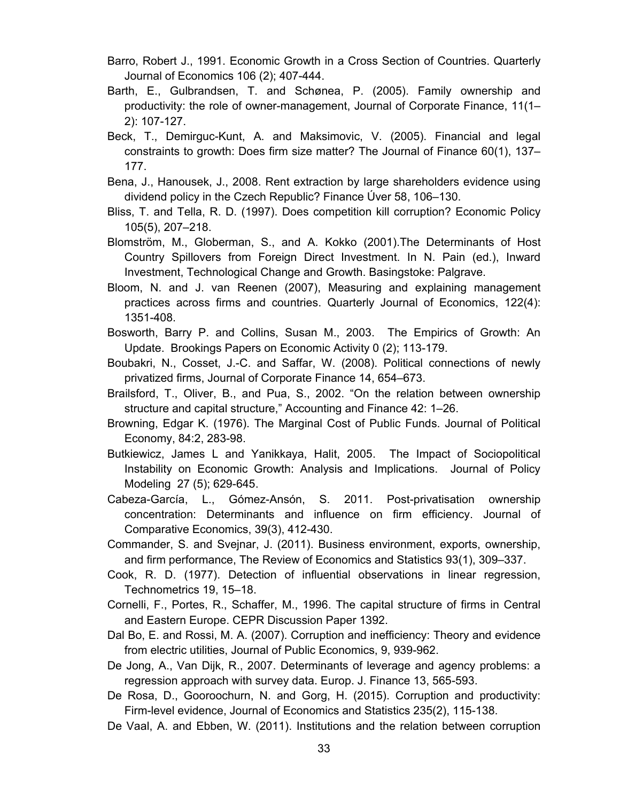- Barro, Robert J., 1991. Economic Growth in a Cross Section of Countries. Quarterly Journal of Economics 106 (2); 407-444.
- Barth, E., Gulbrandsen, T. and Schønea, P. (2005). Family ownership and productivity: the role of owner-management, Journal of Corporate Finance, 11(1– 2): 107-127.
- Beck, T., Demirguc-Kunt, A. and Maksimovic, V. (2005). Financial and legal constraints to growth: Does firm size matter? The Journal of Finance 60(1), 137– 177.
- Bena, J., Hanousek, J., 2008. Rent extraction by large shareholders evidence using dividend policy in the Czech Republic? Finance Úver 58, 106–130.
- Bliss, T. and Tella, R. D. (1997). Does competition kill corruption? Economic Policy 105(5), 207–218.
- Blomström, M., Globerman, S., and A. Kokko (2001).The Determinants of Host Country Spillovers from Foreign Direct Investment. In N. Pain (ed.), Inward Investment, Technological Change and Growth. Basingstoke: Palgrave.
- Bloom, N. and J. van Reenen (2007), Measuring and explaining management practices across firms and countries. Quarterly Journal of Economics, 122(4): 1351-408.
- Bosworth, Barry P. and Collins, Susan M., 2003. The Empirics of Growth: An Update. Brookings Papers on Economic Activity 0 (2); 113-179.
- Boubakri, N., Cosset, J.-C. and Saffar, W. (2008). Political connections of newly privatized firms, Journal of Corporate Finance 14, 654–673.
- Brailsford, T., Oliver, B., and Pua, S., 2002. "On the relation between ownership structure and capital structure," Accounting and Finance 42: 1–26.
- Browning, Edgar K. (1976). The Marginal Cost of Public Funds. Journal of Political Economy, 84:2, 283-98.
- Butkiewicz, James L and Yanikkaya, Halit, 2005. The Impact of Sociopolitical Instability on Economic Growth: Analysis and Implications. Journal of Policy Modeling 27 (5); 629-645.
- Cabeza-García, L., Gómez-Ansón, S. 2011. Post-privatisation ownership concentration: Determinants and influence on firm efficiency. Journal of Comparative Economics, 39(3), 412-430.
- Commander, S. and Svejnar, J. (2011). Business environment, exports, ownership, and firm performance, The Review of Economics and Statistics 93(1), 309–337.
- Cook, R. D. (1977). Detection of influential observations in linear regression, Technometrics 19, 15–18.
- Cornelli, F., Portes, R., Schaffer, M., 1996. The capital structure of firms in Central and Eastern Europe. CEPR Discussion Paper 1392.
- Dal Bo, E. and Rossi, M. A. (2007). Corruption and inefficiency: Theory and evidence from electric utilities, Journal of Public Economics, 9, 939-962.
- De Jong, A., Van Dijk, R., 2007. Determinants of leverage and agency problems: a regression approach with survey data. Europ. J. Finance 13, 565-593.
- De Rosa, D., Gooroochurn, N. and Gorg, H. (2015). Corruption and productivity: Firm-level evidence, Journal of Economics and Statistics 235(2), 115-138.
- De Vaal, A. and Ebben, W. (2011). Institutions and the relation between corruption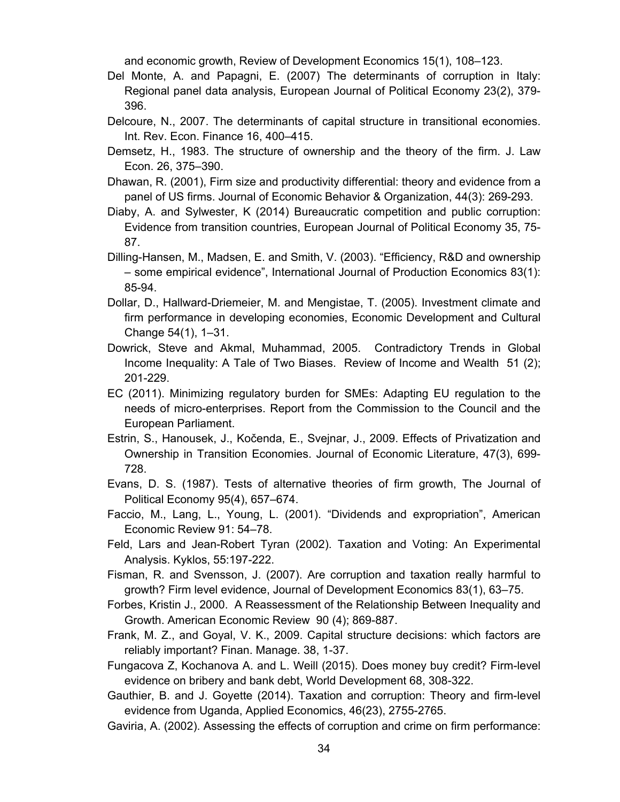and economic growth, Review of Development Economics 15(1), 108–123.

- Del Monte, A. and Papagni, E. (2007) The determinants of corruption in Italy: Regional panel data analysis, European Journal of Political Economy 23(2), 379- 396.
- Delcoure, N., 2007. The determinants of capital structure in transitional economies. Int. Rev. Econ. Finance 16, 400–415.
- Demsetz, H., 1983. The structure of ownership and the theory of the firm. J. Law Econ. 26, 375–390.
- Dhawan, R. (2001), Firm size and productivity differential: theory and evidence from a panel of US firms. Journal of Economic Behavior & Organization, 44(3): 269-293.
- Diaby, A. and Sylwester, K (2014) Bureaucratic competition and public corruption: Evidence from transition countries, European Journal of Political Economy 35, 75- 87.
- Dilling-Hansen, M., Madsen, E. and Smith, V. (2003). "Efficiency, R&D and ownership – some empirical evidence", International Journal of Production Economics 83(1): 85-94.
- Dollar, D., Hallward-Driemeier, M. and Mengistae, T. (2005). Investment climate and firm performance in developing economies, Economic Development and Cultural Change 54(1), 1–31.
- Dowrick, Steve and Akmal, Muhammad, 2005. Contradictory Trends in Global Income Inequality: A Tale of Two Biases. Review of Income and Wealth 51 (2); 201-229.
- EC (2011). Minimizing regulatory burden for SMEs: Adapting EU regulation to the needs of micro-enterprises. Report from the Commission to the Council and the European Parliament.
- Estrin, S., Hanousek, J., Kočenda, E., Svejnar, J., 2009. Effects of Privatization and Ownership in Transition Economies. Journal of Economic Literature, 47(3), 699- 728.
- Evans, D. S. (1987). Tests of alternative theories of firm growth, The Journal of Political Economy 95(4), 657–674.
- Faccio, M., Lang, L., Young, L. (2001). "Dividends and expropriation", American Economic Review 91: 54–78.
- Feld, Lars and Jean-Robert Tyran (2002). Taxation and Voting: An Experimental Analysis. Kyklos, 55:197-222.
- Fisman, R. and Svensson, J. (2007). Are corruption and taxation really harmful to growth? Firm level evidence, Journal of Development Economics 83(1), 63–75.
- Forbes, Kristin J., 2000. A Reassessment of the Relationship Between Inequality and Growth. American Economic Review 90 (4); 869-887.
- Frank, M. Z., and Goyal, V. K., 2009. Capital structure decisions: which factors are reliably important? Finan. Manage. 38, 1-37.
- Fungacova Z, Kochanova A. and L. Weill (2015). Does money buy credit? Firm-level evidence on bribery and bank debt, World Development 68, 308-322.
- Gauthier, B. and J. Goyette (2014). Taxation and corruption: Theory and firm-level evidence from Uganda, Applied Economics, 46(23), 2755-2765.
- Gaviria, A. (2002). Assessing the effects of corruption and crime on firm performance: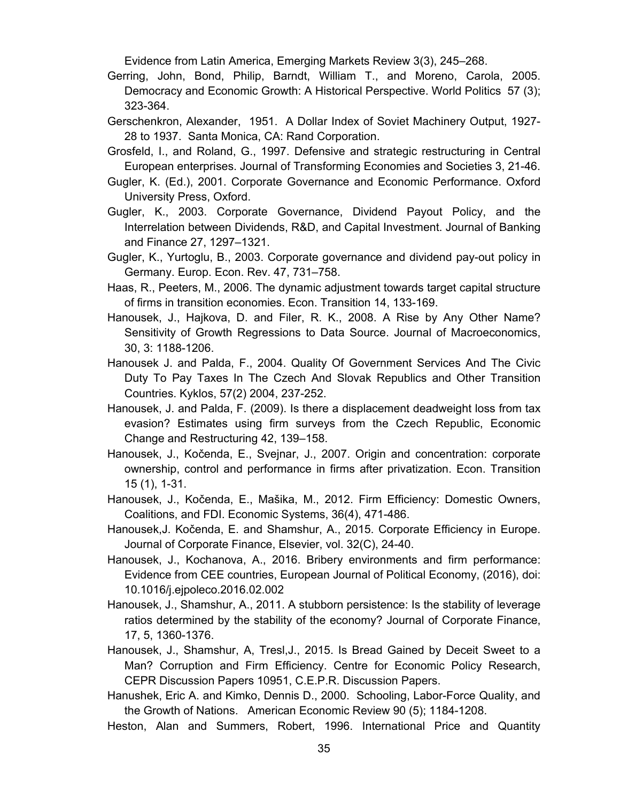Evidence from Latin America, Emerging Markets Review 3(3), 245–268.

- Gerring, John, Bond, Philip, Barndt, William T., and Moreno, Carola, 2005. Democracy and Economic Growth: A Historical Perspective. World Politics 57 (3); 323-364.
- Gerschenkron, Alexander, 1951. A Dollar Index of Soviet Machinery Output, 1927- 28 to 1937. Santa Monica, CA: Rand Corporation.
- Grosfeld, I., and Roland, G., 1997. Defensive and strategic restructuring in Central European enterprises. Journal of Transforming Economies and Societies 3, 21-46.
- Gugler, K. (Ed.), 2001. Corporate Governance and Economic Performance. Oxford University Press, Oxford.
- Gugler, K., 2003. Corporate Governance, Dividend Payout Policy, and the Interrelation between Dividends, R&D, and Capital Investment. Journal of Banking and Finance 27, 1297–1321.
- Gugler, K., Yurtoglu, B., 2003. Corporate governance and dividend pay-out policy in Germany. Europ. Econ. Rev. 47, 731–758.
- Haas, R., Peeters, M., 2006. The dynamic adjustment towards target capital structure of firms in transition economies. Econ. Transition 14, 133-169.
- Hanousek, J., Hajkova, D. and Filer, R. K., 2008. A Rise by Any Other Name? Sensitivity of Growth Regressions to Data Source. Journal of Macroeconomics, 30, 3: 1188-1206.
- Hanousek J. and Palda, F., 2004. Quality Of Government Services And The Civic Duty To Pay Taxes In The Czech And Slovak Republics and Other Transition Countries. Kyklos, 57(2) 2004, 237-252.
- Hanousek, J. and Palda, F. (2009). Is there a displacement deadweight loss from tax evasion? Estimates using firm surveys from the Czech Republic, Economic Change and Restructuring 42, 139–158.
- Hanousek, J., Kočenda, E., Svejnar, J., 2007. Origin and concentration: corporate ownership, control and performance in firms after privatization. Econ. Transition 15 (1), 1-31.
- Hanousek, J., Kočenda, E., Mašika, M., 2012. Firm Efficiency: Domestic Owners, Coalitions, and FDI. Economic Systems, 36(4), 471-486.
- Hanousek,J. Kočenda, E. and Shamshur, A., 2015. Corporate Efficiency in Europe. Journal of Corporate Finance, Elsevier, vol. 32(C), 24-40.
- Hanousek, J., Kochanova, A., 2016. Bribery environments and firm performance: Evidence from CEE countries, European Journal of Political Economy, (2016), doi: 10.1016/j.ejpoleco.2016.02.002
- Hanousek, J., Shamshur, A., 2011. A stubborn persistence: Is the stability of leverage ratios determined by the stability of the economy? Journal of Corporate Finance, 17, 5, 1360-1376.
- Hanousek, J., Shamshur, A, Tresl,J., 2015. Is Bread Gained by Deceit Sweet to a Man? Corruption and Firm Efficiency. Centre for Economic Policy Research, CEPR Discussion Papers 10951, C.E.P.R. Discussion Papers.
- Hanushek, Eric A. and Kimko, Dennis D., 2000. Schooling, Labor-Force Quality, and the Growth of Nations. American Economic Review 90 (5); 1184-1208.
- Heston, Alan and Summers, Robert, 1996. International Price and Quantity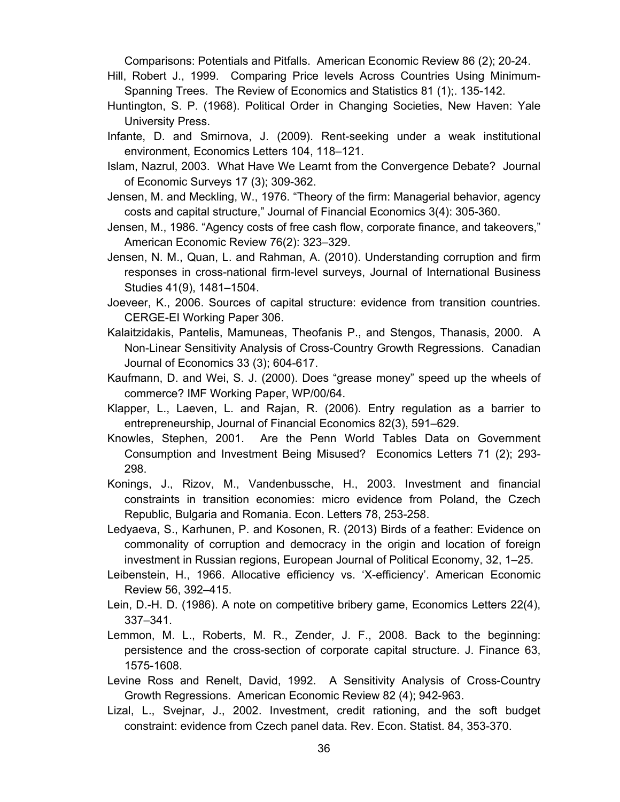Comparisons: Potentials and Pitfalls. American Economic Review 86 (2); 20-24.

Hill, Robert J., 1999. Comparing Price levels Across Countries Using Minimum-Spanning Trees. The Review of Economics and Statistics 81 (1);. 135-142.

Huntington, S. P. (1968). Political Order in Changing Societies, New Haven: Yale University Press.

- Infante, D. and Smirnova, J. (2009). Rent-seeking under a weak institutional environment, Economics Letters 104, 118–121.
- Islam, Nazrul, 2003. What Have We Learnt from the Convergence Debate? Journal of Economic Surveys 17 (3); 309-362.
- Jensen, M. and Meckling, W., 1976. "Theory of the firm: Managerial behavior, agency costs and capital structure," Journal of Financial Economics 3(4): 305-360.

Jensen, M., 1986. "Agency costs of free cash flow, corporate finance, and takeovers," American Economic Review 76(2): 323–329.

- Jensen, N. M., Quan, L. and Rahman, A. (2010). Understanding corruption and firm responses in cross-national firm-level surveys, Journal of International Business Studies 41(9), 1481–1504.
- Joeveer, K., 2006. Sources of capital structure: evidence from transition countries. CERGE-EI Working Paper 306.
- Kalaitzidakis, Pantelis, Mamuneas, Theofanis P., and Stengos, Thanasis, 2000. A Non-Linear Sensitivity Analysis of Cross-Country Growth Regressions. Canadian Journal of Economics 33 (3); 604-617.
- Kaufmann, D. and Wei, S. J. (2000). Does "grease money" speed up the wheels of commerce? IMF Working Paper, WP/00/64.
- Klapper, L., Laeven, L. and Rajan, R. (2006). Entry regulation as a barrier to entrepreneurship, Journal of Financial Economics 82(3), 591–629.
- Knowles, Stephen, 2001. Are the Penn World Tables Data on Government Consumption and Investment Being Misused? Economics Letters 71 (2); 293- 298.
- Konings, J., Rizov, M., Vandenbussche, H., 2003. Investment and financial constraints in transition economies: micro evidence from Poland, the Czech Republic, Bulgaria and Romania. Econ. Letters 78, 253-258.

Ledyaeva, S., Karhunen, P. and Kosonen, R. (2013) Birds of a feather: Evidence on commonality of corruption and democracy in the origin and location of foreign investment in Russian regions, European Journal of Political Economy, 32, 1–25.

- Leibenstein, H., 1966. Allocative efficiency vs. 'X-efficiency'. American Economic Review 56, 392–415.
- Lein, D.-H. D. (1986). A note on competitive bribery game, Economics Letters 22(4), 337–341.
- Lemmon, M. L., Roberts, M. R., Zender, J. F., 2008. Back to the beginning: persistence and the cross-section of corporate capital structure. J. Finance 63, 1575-1608.
- Levine Ross and Renelt, David, 1992. A Sensitivity Analysis of Cross-Country Growth Regressions. American Economic Review 82 (4); 942-963.
- Lizal, L., Svejnar, J., 2002. Investment, credit rationing, and the soft budget constraint: evidence from Czech panel data. Rev. Econ. Statist. 84, 353-370.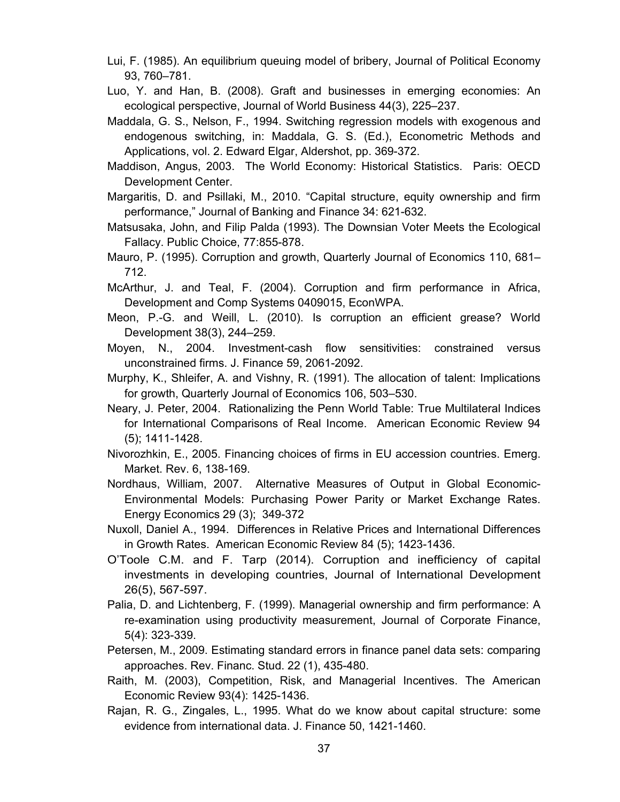- Lui, F. (1985). An equilibrium queuing model of bribery, Journal of Political Economy 93, 760–781.
- Luo, Y. and Han, B. (2008). Graft and businesses in emerging economies: An ecological perspective, Journal of World Business 44(3), 225–237.
- Maddala, G. S., Nelson, F., 1994. Switching regression models with exogenous and endogenous switching, in: Maddala, G. S. (Ed.), Econometric Methods and Applications, vol. 2. Edward Elgar, Aldershot, pp. 369-372.
- Maddison, Angus, 2003. The World Economy: Historical Statistics. Paris: OECD Development Center.
- Margaritis, D. and Psillaki, M., 2010. "Capital structure, equity ownership and firm performance," Journal of Banking and Finance 34: 621-632.
- Matsusaka, John, and Filip Palda (1993). The Downsian Voter Meets the Ecological Fallacy. Public Choice, 77:855-878.
- Mauro, P. (1995). Corruption and growth, Quarterly Journal of Economics 110, 681– 712.
- McArthur, J. and Teal, F. (2004). Corruption and firm performance in Africa, Development and Comp Systems 0409015, EconWPA.
- Meon, P.-G. and Weill, L. (2010). Is corruption an efficient grease? World Development 38(3), 244–259.
- Moyen, N., 2004. Investment-cash flow sensitivities: constrained versus unconstrained firms. J. Finance 59, 2061-2092.
- Murphy, K., Shleifer, A. and Vishny, R. (1991). The allocation of talent: Implications for growth, Quarterly Journal of Economics 106, 503–530.
- Neary, J. Peter, 2004. Rationalizing the Penn World Table: True Multilateral Indices for International Comparisons of Real Income. American Economic Review 94 (5); 1411-1428.
- Nivorozhkin, E., 2005. Financing choices of firms in EU accession countries. Emerg. Market. Rev. 6, 138-169.
- Nordhaus, William, 2007. Alternative Measures of Output in Global Economic-Environmental Models: Purchasing Power Parity or Market Exchange Rates. Energy Economics 29 (3); 349-372
- Nuxoll, Daniel A., 1994. Differences in Relative Prices and International Differences in Growth Rates. American Economic Review 84 (5); 1423-1436.
- O'Toole C.M. and F. Tarp (2014). Corruption and inefficiency of capital investments in developing countries, Journal of International Development 26(5), 567-597.
- Palia, D. and Lichtenberg, F. (1999). Managerial ownership and firm performance: A re-examination using productivity measurement, Journal of Corporate Finance, 5(4): 323-339.
- Petersen, M., 2009. Estimating standard errors in finance panel data sets: comparing approaches. Rev. Financ. Stud. 22 (1), 435-480.
- Raith, M. (2003), Competition, Risk, and Managerial Incentives. The American Economic Review 93(4): 1425-1436.
- Rajan, R. G., Zingales, L., 1995. What do we know about capital structure: some evidence from international data. J. Finance 50, 1421-1460.